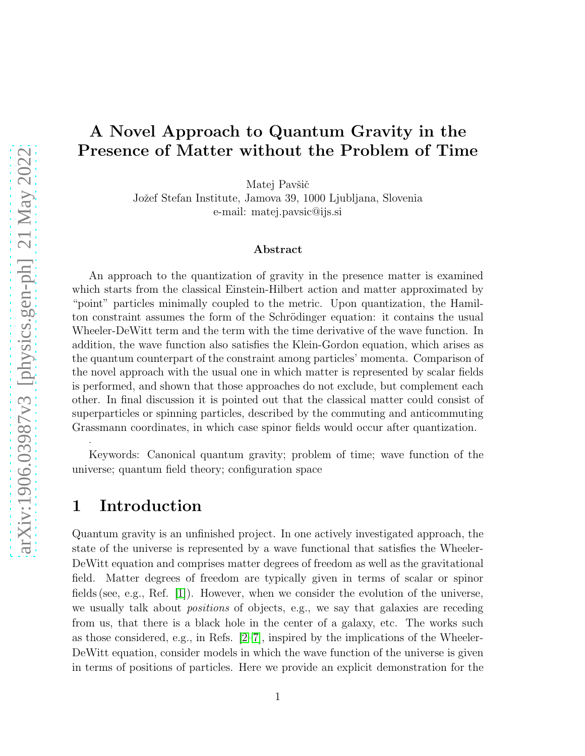# A Novel Approach to Quantum Gravity in the Presence of Matter without the Problem of Time

Matej Pavšič

Jožef Stefan Institute, Jamova 39, 1000 Ljubljana, Slovenia e-mail: matej.pavsic@ijs.si

#### Abstract

An approach to the quantization of gravity in the presence matter is examined which starts from the classical Einstein-Hilbert action and matter approximated by "point" particles minimally coupled to the metric. Upon quantization, the Hamilton constraint assumes the form of the Schrödinger equation: it contains the usual Wheeler-DeWitt term and the term with the time derivative of the wave function. In addition, the wave function also satisfies the Klein-Gordon equation, which arises as the quantum counterpart of the constraint among particles' momenta. Comparison of the novel approach with the usual one in which matter is represented by scalar fields is performed, and shown that those approaches do not exclude, but complement each other. In final discussion it is pointed out that the classical matter could consist of superparticles or spinning particles, described by the commuting and anticommuting Grassmann coordinates, in which case spinor fields would occur after quantization.

Keywords: Canonical quantum gravity; problem of time; wave function of the universe; quantum field theory; configuration space

### 1 Introduction

.

Quantum gravity is an unfinished project. In one actively investigated approach, the state of the universe is represented by a wave functional that satisfies the Wheeler-DeWitt equation and comprises matter degrees of freedom as well as the gravitational field. Matter degrees of freedom are typically given in terms of scalar or spinor fields (see, e.g., Ref. [\[1\]](#page-27-0)). However, when we consider the evolution of the universe, we usually talk about *positions* of objects, e.g., we say that galaxies are receding from us, that there is a black hole in the center of a galaxy, etc. The works such as those considered, e.g., in Refs.  $[2-7]$ , inspired by the implications of the Wheeler-DeWitt equation, consider models in which the wave function of the universe is given in terms of positions of particles. Here we provide an explicit demonstration for the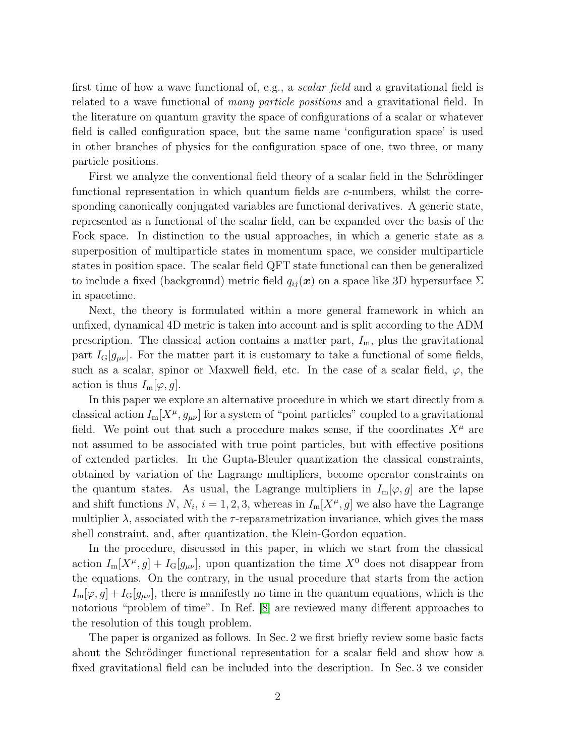first time of how a wave functional of, e.g., a scalar field and a gravitational field is related to a wave functional of many particle positions and a gravitational field. In the literature on quantum gravity the space of configurations of a scalar or whatever field is called configuration space, but the same name 'configuration space' is used in other branches of physics for the configuration space of one, two three, or many particle positions.

First we analyze the conventional field theory of a scalar field in the Schrödinger functional representation in which quantum fields are c-numbers, whilst the corresponding canonically conjugated variables are functional derivatives. A generic state, represented as a functional of the scalar field, can be expanded over the basis of the Fock space. In distinction to the usual approaches, in which a generic state as a superposition of multiparticle states in momentum space, we consider multiparticle states in position space. The scalar field QFT state functional can then be generalized to include a fixed (background) metric field  $q_{ij}(\boldsymbol{x})$  on a space like 3D hypersurface  $\Sigma$ in spacetime.

Next, the theory is formulated within a more general framework in which an unfixed, dynamical 4D metric is taken into account and is split according to the ADM prescription. The classical action contains a matter part,  $I<sub>m</sub>$ , plus the gravitational part  $I_{\rm G}[\mathfrak{g}_{\mu\nu}]$ . For the matter part it is customary to take a functional of some fields, such as a scalar, spinor or Maxwell field, etc. In the case of a scalar field,  $\varphi$ , the action is thus  $I_m[\varphi, g]$ .

In this paper we explore an alternative procedure in which we start directly from a classical action  $I_m[X^{\mu}, g_{\mu\nu}]$  for a system of "point particles" coupled to a gravitational field. We point out that such a procedure makes sense, if the coordinates  $X^{\mu}$  are not assumed to be associated with true point particles, but with effective positions of extended particles. In the Gupta-Bleuler quantization the classical constraints, obtained by variation of the Lagrange multipliers, become operator constraints on the quantum states. As usual, the Lagrange multipliers in  $I_m[\varphi, g]$  are the lapse and shift functions N,  $N_i$ ,  $i = 1, 2, 3$ , whereas in  $I_m[X^{\mu}, g]$  we also have the Lagrange multiplier  $\lambda$ , associated with the  $\tau$ -reparametrization invariance, which gives the mass shell constraint, and, after quantization, the Klein-Gordon equation.

In the procedure, discussed in this paper, in which we start from the classical action  $I_m[X^{\mu}, g] + I_G[g_{\mu\nu}]$ , upon quantization the time  $X^0$  does not disappear from the equations. On the contrary, in the usual procedure that starts from the action  $I_m[\varphi, g] + I_G[g_{\mu\nu}]$ , there is manifestly no time in the quantum equations, which is the notorious "problem of time". In Ref. [\[8\]](#page-28-1) are reviewed many different approaches to the resolution of this tough problem.

The paper is organized as follows. In Sec. 2 we first briefly review some basic facts about the Schrödinger functional representation for a scalar field and show how a fixed gravitational field can be included into the description. In Sec. 3 we consider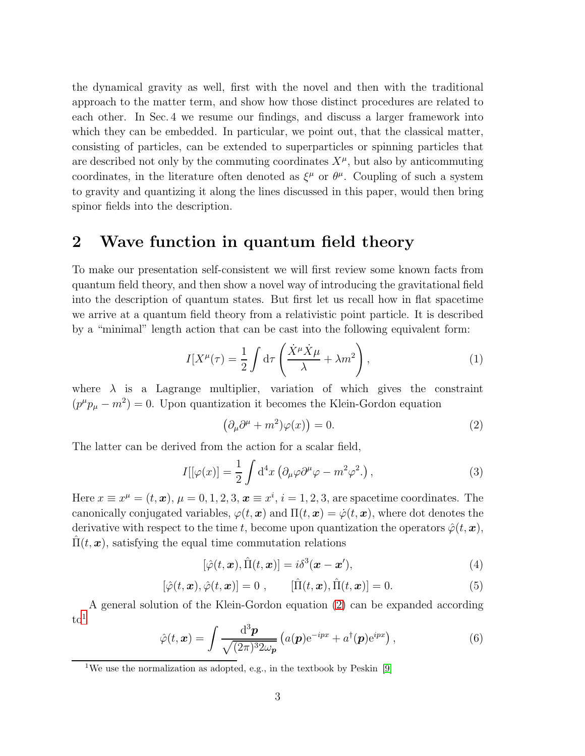the dynamical gravity as well, first with the novel and then with the traditional approach to the matter term, and show how those distinct procedures are related to each other. In Sec. 4 we resume our findings, and discuss a larger framework into which they can be embedded. In particular, we point out, that the classical matter, consisting of particles, can be extended to superparticles or spinning particles that are described not only by the commuting coordinates  $X^{\mu}$ , but also by anticommuting coordinates, in the literature often denoted as  $\xi^{\mu}$  or  $\theta^{\mu}$ . Coupling of such a system to gravity and quantizing it along the lines discussed in this paper, would then bring spinor fields into the description.

## 2 Wave function in quantum field theory

To make our presentation self-consistent we will first review some known facts from quantum field theory, and then show a novel way of introducing the gravitational field into the description of quantum states. But first let us recall how in flat spacetime we arrive at a quantum field theory from a relativistic point particle. It is described by a "minimal" length action that can be cast into the following equivalent form:

$$
I[X^{\mu}(\tau) = \frac{1}{2} \int d\tau \left( \frac{\dot{X}^{\mu} \dot{X}^{\mu}}{\lambda} + \lambda m^2 \right), \qquad (1)
$$

where  $\lambda$  is a Lagrange multiplier, variation of which gives the constraint  $(p^{\mu}p_{\mu} - m^2) = 0$ . Upon quantization it becomes the Klein-Gordon equation

<span id="page-2-0"></span>
$$
\left(\partial_{\mu}\partial^{\mu} + m^{2}\right)\varphi(x)\right) = 0.
$$
\n(2)

The latter can be derived from the action for a scalar field,

$$
I[\varphi(x)] = \frac{1}{2} \int d^4x \left( \partial_\mu \varphi \partial^\mu \varphi - m^2 \varphi^2 \right), \qquad (3)
$$

Here  $x \equiv x^{\mu} = (t, \boldsymbol{x}), \mu = 0, 1, 2, 3, \boldsymbol{x} \equiv x^{i}, i = 1, 2, 3$ , are spacetime coordinates. The canonically conjugated variables,  $\varphi(t, x)$  and  $\Pi(t, x) = \varphi(t, x)$ , where dot denotes the derivative with respect to the time t, become upon quantization the operators  $\hat{\varphi}(t,\bm{x}),$  $\Pi(t, x)$ , satisfying the equal time commutation relations

<span id="page-2-2"></span>
$$
[\hat{\varphi}(t,\boldsymbol{x}),\hat{\Pi}(t,\boldsymbol{x})]=i\delta^3(\boldsymbol{x}-\boldsymbol{x}'),\tag{4}
$$

<span id="page-2-3"></span>
$$
[\hat{\varphi}(t,\boldsymbol{x}),\hat{\varphi}(t,\boldsymbol{x})] = 0 , \qquad [\hat{\Pi}(t,\boldsymbol{x}),\hat{\Pi}(t,\boldsymbol{x})] = 0.
$$
 (5)

A general solution of the Klein-Gordon equation [\(2\)](#page-2-0) can be expanded according  $\mathrm{to}^1$  $\mathrm{to}^1$ 

$$
\hat{\varphi}(t,\boldsymbol{x}) = \int \frac{\mathrm{d}^3 \boldsymbol{p}}{\sqrt{(2\pi)^3 2\omega_{\boldsymbol{p}}}} \left( a(\boldsymbol{p}) e^{-ipx} + a^\dagger(\boldsymbol{p}) e^{ipx} \right),\tag{6}
$$

<span id="page-2-1"></span><sup>&</sup>lt;sup>1</sup>We use the normalization as adopted, e.g., in the textbook by Peskin [\[9\]](#page-28-2)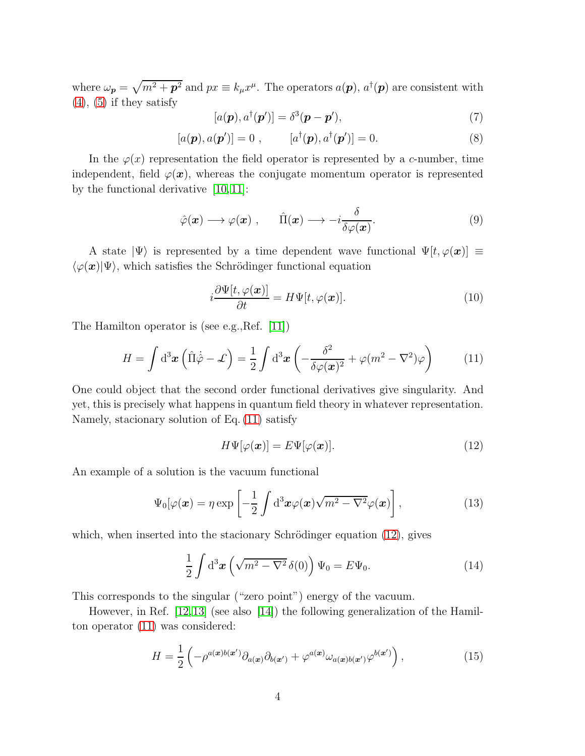where  $\omega_p = \sqrt{m^2 + p^2}$  and  $px \equiv k_\mu x^\mu$ . The operators  $a(p)$ ,  $a^\dagger(p)$  are consistent with  $(4)$ ,  $(5)$  if they satisfy

$$
[a(\mathbf{p}), a^{\dagger}(\mathbf{p}')] = \delta^3(\mathbf{p} - \mathbf{p}'), \tag{7}
$$

$$
[a(\mathbf{p}), a(\mathbf{p}')] = 0 , \qquad [a^{\dagger}(\mathbf{p}), a^{\dagger}(\mathbf{p}')] = 0.
$$
 (8)

In the  $\varphi(x)$  representation the field operator is represented by a c-number, time independent, field  $\varphi(\mathbf{x})$ , whereas the conjugate momentum operator is represented by the functional derivative [\[10,](#page-28-3) [11\]](#page-28-4):

<span id="page-3-3"></span>
$$
\hat{\varphi}(\boldsymbol{x}) \longrightarrow \varphi(\boldsymbol{x}) , \qquad \hat{\Pi}(\boldsymbol{x}) \longrightarrow -i \frac{\delta}{\delta \varphi(\boldsymbol{x})} . \tag{9}
$$

A state  $|\Psi\rangle$  is represented by a time dependent wave functional  $\Psi[t, \varphi(\boldsymbol{x})] \equiv$  $\langle \varphi(\bm{x})|\Psi\rangle$ , which satisfies the Schrödinger functional equation

<span id="page-3-5"></span>
$$
i\frac{\partial\Psi[t,\varphi(\boldsymbol{x})]}{\partial t} = H\Psi[t,\varphi(\boldsymbol{x})].\tag{10}
$$

The Hamilton operator is (see e.g.,Ref. [\[11\]](#page-28-4))

<span id="page-3-0"></span>
$$
H = \int d^3x \left( \hat{\Pi} \dot{\hat{\varphi}} - \mathcal{L} \right) = \frac{1}{2} \int d^3x \left( -\frac{\delta^2}{\delta \varphi(\mathbf{x})^2} + \varphi(m^2 - \nabla^2) \varphi \right) \tag{11}
$$

One could object that the second order functional derivatives give singularity. And yet, this is precisely what happens in quantum field theory in whatever representation. Namely, stacionary solution of Eq. [\(11\)](#page-3-0) satisfy

<span id="page-3-1"></span>
$$
H\Psi[\varphi(\boldsymbol{x})] = E\Psi[\varphi(\boldsymbol{x})]. \tag{12}
$$

An example of a solution is the vacuum functional

<span id="page-3-4"></span>
$$
\Psi_0[\varphi(\boldsymbol{x}) = \eta \exp\left[-\frac{1}{2} \int d^3 \boldsymbol{x} \varphi(\boldsymbol{x}) \sqrt{m^2 - \nabla^2} \varphi(\boldsymbol{x})\right],
$$
\n(13)

which, when inserted into the stacionary Schrödinger equation  $(12)$ , gives

$$
\frac{1}{2} \int d^3 x \left( \sqrt{m^2 - \nabla^2} \, \delta(0) \right) \Psi_0 = E \Psi_0. \tag{14}
$$

This corresponds to the singular ("zero point") energy of the vacuum.

However, in Ref. [\[12,](#page-28-5)[13\]](#page-28-6) (see also [\[14\]](#page-28-7)) the following generalization of the Hamilton operator [\(11\)](#page-3-0) was considered:

<span id="page-3-2"></span>
$$
H = \frac{1}{2} \left( -\rho^{a(\boldsymbol{x})b(\boldsymbol{x}')} \partial_{a(\boldsymbol{x})} \partial_{b(\boldsymbol{x}')} + \varphi^{a(\boldsymbol{x})} \omega_{a(\boldsymbol{x})b(\boldsymbol{x}')} \varphi^{b(\boldsymbol{x}')} \right), \tag{15}
$$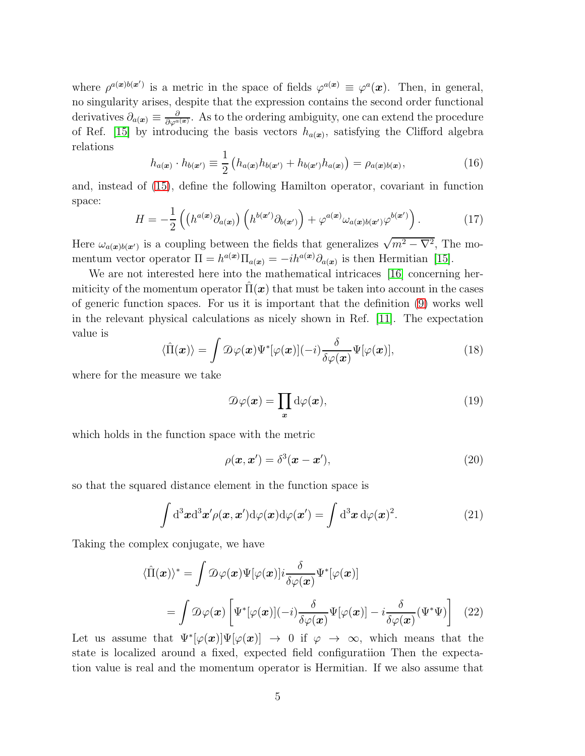where  $\rho^{a(x)b(x')}$  is a metric in the space of fields  $\varphi^{a(x)} \equiv \varphi^{a}(x)$ . Then, in general, no singularity arises, despite that the expression contains the second order functional derivatives  $\partial_{a(x)} \equiv \frac{\partial}{\partial \varphi^{a(x)}}$ . As to the ordering ambiguity, one can extend the procedure of Ref. [\[15\]](#page-28-8) by introducing the basis vectors  $h_{a(x)}$ , satisfying the Clifford algebra relations

$$
h_{a(\boldsymbol{x})} \cdot h_{b(\boldsymbol{x}')} \equiv \frac{1}{2} \left( h_{a(\boldsymbol{x})} h_{b(\boldsymbol{x}')} + h_{b(\boldsymbol{x}')} h_{a(\boldsymbol{x})} \right) = \rho_{a(\boldsymbol{x})b(\boldsymbol{x})}, \tag{16}
$$

and, instead of [\(15\)](#page-3-2), define the following Hamilton operator, covariant in function space:

$$
H = -\frac{1}{2} \left( \left( h^{a(\boldsymbol{x})} \partial_{a(\boldsymbol{x})} \right) \left( h^{b(\boldsymbol{x}')} \partial_{b(\boldsymbol{x}')} \right) + \varphi^{a(\boldsymbol{x})} \omega_{a(\boldsymbol{x})b(\boldsymbol{x}')} \varphi^{b(\boldsymbol{x}')} \right). \tag{17}
$$

Here  $\omega_{a(x)b(x')}$  is a coupling between the fields that generalizes  $\sqrt{m^2 - \nabla^2}$ , The momentum vector operator  $\Pi = h^{a(x)} \Pi_{a(x)} = -i h^{a(x)} \partial_{a(x)}$  is then Hermitian [\[15\]](#page-28-8).

We are not interested here into the mathematical intricaces [\[16\]](#page-28-9) concerning hermiticity of the momentum operator  $\Pi(\boldsymbol{x})$  that must be taken into account in the cases of generic function spaces. For us it is important that the definition [\(9\)](#page-3-3) works well in the relevant physical calculations as nicely shown in Ref. [\[11\]](#page-28-4). The expectation value is

$$
\langle \hat{\Pi}(\boldsymbol{x}) \rangle = \int \mathcal{D}\varphi(\boldsymbol{x}) \Psi^*[\varphi(\boldsymbol{x})](-i) \frac{\delta}{\delta \varphi(\boldsymbol{x})} \Psi[\varphi(\boldsymbol{x})], \tag{18}
$$

where for the measure we take

$$
\mathcal{D}\varphi(\boldsymbol{x}) = \prod_{\boldsymbol{x}} d\varphi(\boldsymbol{x}),\tag{19}
$$

which holds in the function space with the metric

$$
\rho(\mathbf{x}, \mathbf{x}') = \delta^3(\mathbf{x} - \mathbf{x}'),\tag{20}
$$

so that the squared distance element in the function space is

$$
\int d^3x d^3x' \rho(\boldsymbol{x}, \boldsymbol{x}') d\varphi(\boldsymbol{x}) d\varphi(\boldsymbol{x}') = \int d^3x d\varphi(\boldsymbol{x})^2.
$$
 (21)

Taking the complex conjugate, we have

$$
\langle \hat{\Pi}(\boldsymbol{x}) \rangle^* = \int \mathcal{D}\varphi(\boldsymbol{x}) \Psi[\varphi(\boldsymbol{x})] i \frac{\delta}{\delta \varphi(\boldsymbol{x})} \Psi^*[\varphi(\boldsymbol{x})]
$$

$$
= \int \mathcal{D}\varphi(\boldsymbol{x}) \left[ \Psi^*[\varphi(\boldsymbol{x})](-i) \frac{\delta}{\delta \varphi(\boldsymbol{x})} \Psi[\varphi(\boldsymbol{x})] - i \frac{\delta}{\delta \varphi(\boldsymbol{x})} (\Psi^* \Psi) \right] \quad (22)
$$

Let us assume that  $\Psi^*[\varphi(\boldsymbol{x})] \Psi[\varphi(\boldsymbol{x})] \to 0$  if  $\varphi \to \infty$ , which means that the state is localized around a fixed, expected field configuratiion Then the expectation value is real and the momentum operator is Hermitian. If we also assume that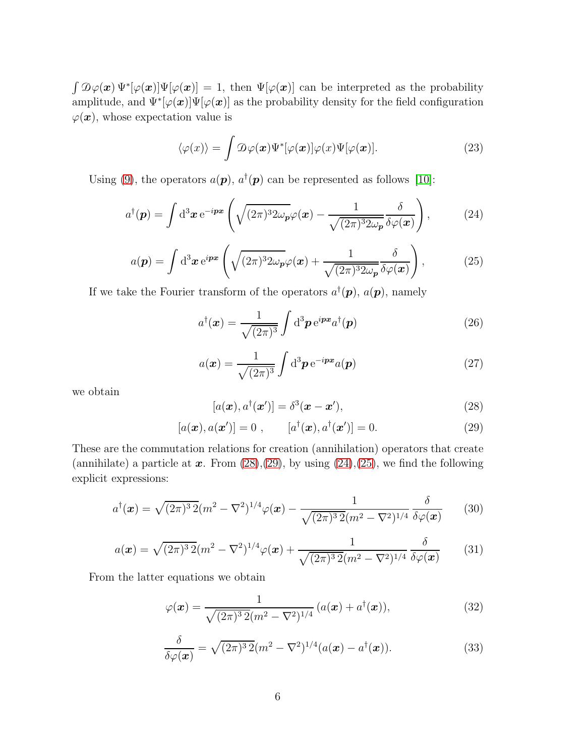$\int \mathcal{D}\varphi(\bm{x}) \Psi^*[\varphi(\bm{x})] \Psi[\varphi(\bm{x})] = 1$ , then  $\Psi[\varphi(\bm{x})]$  can be interpreted as the probability amplitude, and  $\Psi^*[\varphi(\bm{x})]\Psi[\varphi(\bm{x})]$  as the probability density for the field configuration  $\varphi(\boldsymbol{x})$ , whose expectation value is

$$
\langle \varphi(x) \rangle = \int \mathcal{D}\varphi(\boldsymbol{x}) \Psi^*[\varphi(\boldsymbol{x})] \varphi(x) \Psi[\varphi(\boldsymbol{x})]. \tag{23}
$$

Using [\(9\)](#page-3-3), the operators  $a(\mathbf{p})$ ,  $a^{\dagger}(\mathbf{p})$  can be represented as follows [\[10\]](#page-28-3):

<span id="page-5-2"></span>
$$
a^{\dagger}(\mathbf{p}) = \int d^3 \mathbf{x} e^{-i\mathbf{p}\mathbf{x}} \left( \sqrt{(2\pi)^3 2\omega_{\mathbf{p}}} \varphi(\mathbf{x}) - \frac{1}{\sqrt{(2\pi)^3 2\omega_{\mathbf{p}}} } \frac{\delta}{\delta \varphi(\mathbf{x})} \right), \tag{24}
$$

<span id="page-5-3"></span>
$$
a(\mathbf{p}) = \int d^3 \mathbf{x} e^{i\mathbf{p}\mathbf{x}} \left( \sqrt{(2\pi)^3 2\omega_{\mathbf{p}}} \varphi(\mathbf{x}) + \frac{1}{\sqrt{(2\pi)^3 2\omega_{\mathbf{p}}} \delta \varphi(\mathbf{x})} \right), \tag{25}
$$

If we take the Fourier transform of the operators  $a^{\dagger}(\mathbf{p})$ ,  $a(\mathbf{p})$ , namely

<span id="page-5-6"></span>
$$
a^{\dagger}(\boldsymbol{x}) = \frac{1}{\sqrt{(2\pi)^3}} \int d^3 \boldsymbol{p} e^{i \boldsymbol{p} \cdot \boldsymbol{x}} a^{\dagger}(\boldsymbol{p})
$$
 (26)

<span id="page-5-7"></span>
$$
a(\boldsymbol{x}) = \frac{1}{\sqrt{(2\pi)^3}} \int d^3 \boldsymbol{p} e^{-i\boldsymbol{p}\boldsymbol{x}} a(\boldsymbol{p})
$$
 (27)

we obtain

<span id="page-5-0"></span>
$$
[a(\boldsymbol{x}), a^{\dagger}(\boldsymbol{x}')] = \delta^3(\boldsymbol{x} - \boldsymbol{x}'), \tag{28}
$$

<span id="page-5-1"></span>
$$
[a(\boldsymbol{x}), a(\boldsymbol{x}')] = 0 , \qquad [a^{\dagger}(\boldsymbol{x}), a^{\dagger}(\boldsymbol{x}')] = 0.
$$
 (29)

These are the commutation relations for creation (annihilation) operators that create (annihilate) a particle at  $x$ . From [\(28\)](#page-5-0),[\(29\)](#page-5-1), by using [\(24\)](#page-5-2),[\(25\)](#page-5-3), we find the following explicit expressions:

<span id="page-5-9"></span>
$$
a^{\dagger}(\boldsymbol{x}) = \sqrt{(2\pi)^3 \, 2} (m^2 - \nabla^2)^{1/4} \varphi(\boldsymbol{x}) - \frac{1}{\sqrt{(2\pi)^3 \, 2} (m^2 - \nabla^2)^{1/4}} \frac{\delta}{\delta \varphi(\boldsymbol{x})}
$$
(30)

<span id="page-5-8"></span>
$$
a(\boldsymbol{x}) = \sqrt{(2\pi)^3 \, 2} (m^2 - \nabla^2)^{1/4} \varphi(\boldsymbol{x}) + \frac{1}{\sqrt{(2\pi)^3 \, 2} (m^2 - \nabla^2)^{1/4}} \, \frac{\delta}{\delta \varphi(\boldsymbol{x})} \tag{31}
$$

From the latter equations we obtain

<span id="page-5-4"></span>
$$
\varphi(\boldsymbol{x}) = \frac{1}{\sqrt{(2\pi)^3 2(m^2 - \nabla^2)^{1/4}}} \left( a(\boldsymbol{x}) + a^\dagger(\boldsymbol{x}) \right),\tag{32}
$$

<span id="page-5-5"></span>
$$
\frac{\delta}{\delta\varphi(\boldsymbol{x})} = \sqrt{(2\pi)^3 \, 2} (m^2 - \nabla^2)^{1/4} (a(\boldsymbol{x}) - a^\dagger(\boldsymbol{x})). \tag{33}
$$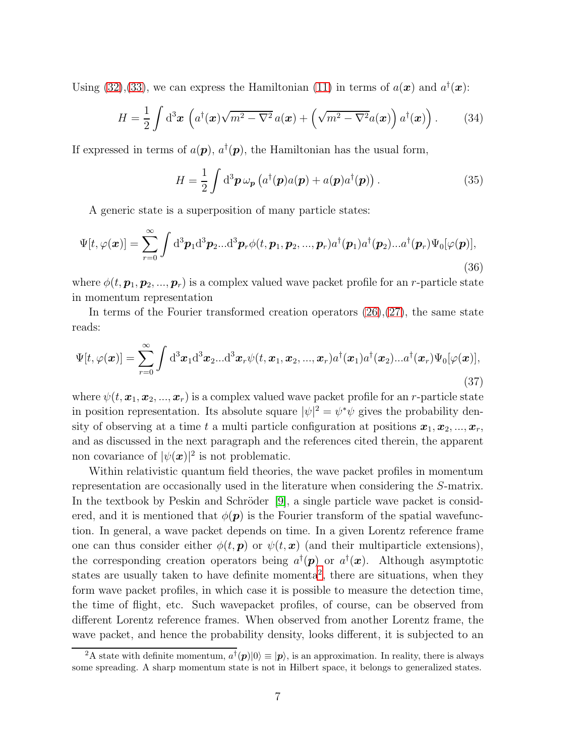Using [\(32\)](#page-5-4), [\(33\)](#page-5-5), we can express the Hamiltonian [\(11\)](#page-3-0) in terms of  $a(\mathbf{x})$  and  $a^{\dagger}(\mathbf{x})$ :

<span id="page-6-2"></span>
$$
H = \frac{1}{2} \int d^3 x \left( a^\dagger(\boldsymbol{x}) \sqrt{m^2 - \nabla^2} a(\boldsymbol{x}) + \left( \sqrt{m^2 - \nabla^2} a(\boldsymbol{x}) \right) a^\dagger(\boldsymbol{x}) \right). \tag{34}
$$

If expressed in terms of  $a(\mathbf{p}), a^{\dagger}(\mathbf{p}),$  the Hamiltonian has the usual form,

$$
H = \frac{1}{2} \int d^3 \boldsymbol{p} \,\omega_{\boldsymbol{p}} \left( a^\dagger(\boldsymbol{p}) a(\boldsymbol{p}) + a(\boldsymbol{p}) a^\dagger(\boldsymbol{p}) \right). \tag{35}
$$

A generic state is a superposition of many particle states:

$$
\Psi[t,\varphi(\boldsymbol{x})] = \sum_{r=0}^{\infty} \int d^3 \boldsymbol{p}_1 d^3 \boldsymbol{p}_2 ... d^3 \boldsymbol{p}_r \phi(t,\boldsymbol{p}_1,\boldsymbol{p}_2,...,\boldsymbol{p}_r) a^{\dagger}(\boldsymbol{p}_1) a^{\dagger}(\boldsymbol{p}_2)...a^{\dagger}(\boldsymbol{p}_r) \Psi_0[\varphi(\boldsymbol{p})],
$$
\n(36)

where  $\phi(t, p_1, p_2, ..., p_r)$  is a complex valued wave packet profile for an r-particle state in momentum representation

In terms of the Fourier transformed creation operators  $(26),(27)$  $(26),(27)$ , the same state reads:

<span id="page-6-1"></span>
$$
\Psi[t,\varphi(\boldsymbol{x})] = \sum_{r=0}^{\infty} \int d^3x_1 d^3x_2...d^3x_r \psi(t,\boldsymbol{x}_1,\boldsymbol{x}_2,...,\boldsymbol{x}_r) a^{\dagger}(\boldsymbol{x}_1) a^{\dagger}(\boldsymbol{x}_2)...a^{\dagger}(\boldsymbol{x}_r) \Psi_0[\varphi(\boldsymbol{x})],
$$
\n(37)

where  $\psi(t, x_1, x_2, ..., x_r)$  is a complex valued wave packet profile for an r-particle state in position representation. Its absolute square  $|\psi|^2 = \psi^* \psi$  gives the probability density of observing at a time t a multi particle configuration at positions  $x_1, x_2, ..., x_r$ , and as discussed in the next paragraph and the references cited therein, the apparent non covariance of  $|\psi(\boldsymbol{x})|^2$  is not problematic.

Within relativistic quantum field theories, the wave packet profiles in momentum representation are occasionally used in the literature when considering the S-matrix. In the textbook by Peskin and Schröder [\[9\]](#page-28-2), a single particle wave packet is considered, and it is mentioned that  $\phi(\mathbf{p})$  is the Fourier transform of the spatial wavefunction. In general, a wave packet depends on time. In a given Lorentz reference frame one can thus consider either  $\phi(t, \mathbf{p})$  or  $\psi(t, \mathbf{x})$  (and their multiparticle extensions), the corresponding creation operators being  $a^{\dagger}(\mathbf{p})$  or  $a^{\dagger}(\mathbf{x})$ . Although asymptotic states are usually taken to have definite momenta<sup>[2](#page-6-0)</sup>, there are situations, when they form wave packet profiles, in which case it is possible to measure the detection time, the time of flight, etc. Such wavepacket profiles, of course, can be observed from different Lorentz reference frames. When observed from another Lorentz frame, the wave packet, and hence the probability density, looks different, it is subjected to an

<span id="page-6-0"></span><sup>&</sup>lt;sup>2</sup>A state with definite momentum,  $a^{\dagger}(\boldsymbol{p})|0\rangle \equiv |\boldsymbol{p}\rangle$ , is an approximation. In reality, there is always some spreading. A sharp momentum state is not in Hilbert space, it belongs to generalized states.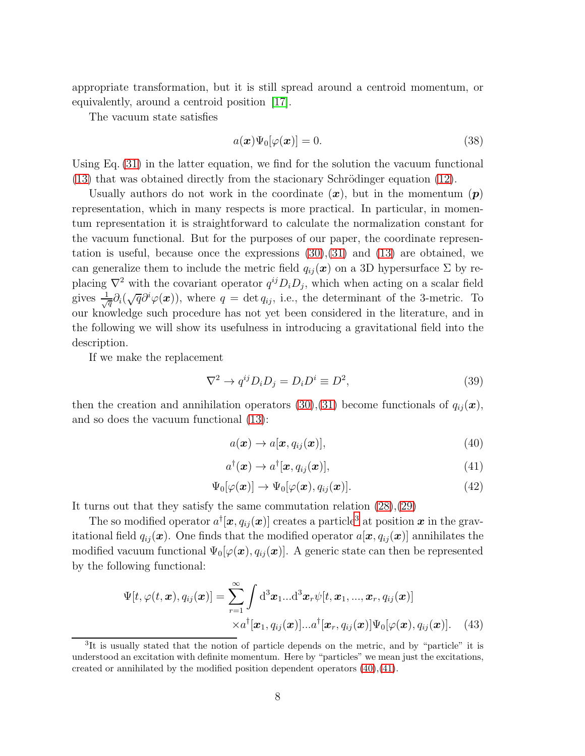appropriate transformation, but it is still spread around a centroid momentum, or equivalently, around a centroid position [\[17\]](#page-28-10).

The vacuum state satisfies

$$
a(\boldsymbol{x})\Psi_0[\varphi(\boldsymbol{x})] = 0.
$$
\n(38)

Using Eq. [\(31\)](#page-5-8) in the latter equation, we find for the solution the vacuum functional  $(13)$  that was obtained directly from the stacionary Schrödinger equation  $(12)$ .

Usually authors do not work in the coordinate  $(x)$ , but in the momentum  $(p)$ representation, which in many respects is more practical. In particular, in momentum representation it is straightforward to calculate the normalization constant for the vacuum functional. But for the purposes of our paper, the coordinate representation is useful, because once the expressions [\(30\)](#page-5-9),[\(31\)](#page-5-8) and [\(13\)](#page-3-4) are obtained, we can generalize them to include the metric field  $q_{ij}(\boldsymbol{x})$  on a 3D hypersurface  $\Sigma$  by replacing  $\nabla^2$  with the covariant operator  $q^{ij}D_iD_j$ , which when acting on a scalar field gives  $\frac{1}{\sqrt{q}}\partial_i(\sqrt{q}\partial^i\varphi(\boldsymbol{x}))$ , where  $q = \det q_{ij}$ , i.e., the determinant of the 3-metric. To our knowledge such procedure has not yet been considered in the literature, and in the following we will show its usefulness in introducing a gravitational field into the description.

If we make the replacement

<span id="page-7-4"></span>
$$
\nabla^2 \to q^{ij} D_i D_j = D_i D^i \equiv D^2,\tag{39}
$$

then the creation and annihilation operators [\(30\)](#page-5-9),[\(31\)](#page-5-8) become functionals of  $q_{ij}(\boldsymbol{x})$ , and so does the vacuum functional [\(13\)](#page-3-4):

<span id="page-7-1"></span>
$$
a(\boldsymbol{x}) \to a[\boldsymbol{x}, q_{ij}(\boldsymbol{x})], \tag{40}
$$

<span id="page-7-2"></span>
$$
a^{\dagger}(\boldsymbol{x}) \to a^{\dagger}[\boldsymbol{x}, q_{ij}(\boldsymbol{x})], \qquad (41)
$$

<span id="page-7-5"></span>
$$
\Psi_0[\varphi(\boldsymbol{x})] \to \Psi_0[\varphi(\boldsymbol{x}), q_{ij}(\boldsymbol{x})]. \tag{42}
$$

It turns out that they satisfy the same commutation relation [\(28\)](#page-5-0),[\(29\)](#page-5-1)

The so modified operator  $a^{\dagger}[\boldsymbol{x}, q_{ij}(\boldsymbol{x})]$  creates a particle<sup>[3](#page-7-0)</sup> at position  $\boldsymbol{x}$  in the gravitational field  $q_{ij}(\boldsymbol{x})$ . One finds that the modified operator  $a[\boldsymbol{x}, q_{ij}(\boldsymbol{x})]$  annihilates the modified vacuum functional  $\Psi_0[\varphi(\boldsymbol{x}), q_{ij}(\boldsymbol{x})]$ . A generic state can then be represented by the following functional:

<span id="page-7-3"></span>
$$
\Psi[t, \varphi(t, \boldsymbol{x}), q_{ij}(\boldsymbol{x})] = \sum_{r=1}^{\infty} \int d^3 x_1 ... d^3 x_r \psi[t, x_1, ..., x_r, q_{ij}(\boldsymbol{x})]
$$

$$
\times a^{\dagger}[\boldsymbol{x}_1, q_{ij}(\boldsymbol{x})] ... a^{\dagger}[\boldsymbol{x}_r, q_{ij}(\boldsymbol{x})] \Psi_0[\varphi(\boldsymbol{x}), q_{ij}(\boldsymbol{x})]. \tag{43}
$$

<span id="page-7-0"></span><sup>&</sup>lt;sup>3</sup>It is usually stated that the notion of particle depends on the metric, and by "particle" it is understood an excitation with definite momentum. Here by "particles" we mean just the excitations, created or annihilated by the modified position dependent operators [\(40\)](#page-7-1),[\(41\)](#page-7-2).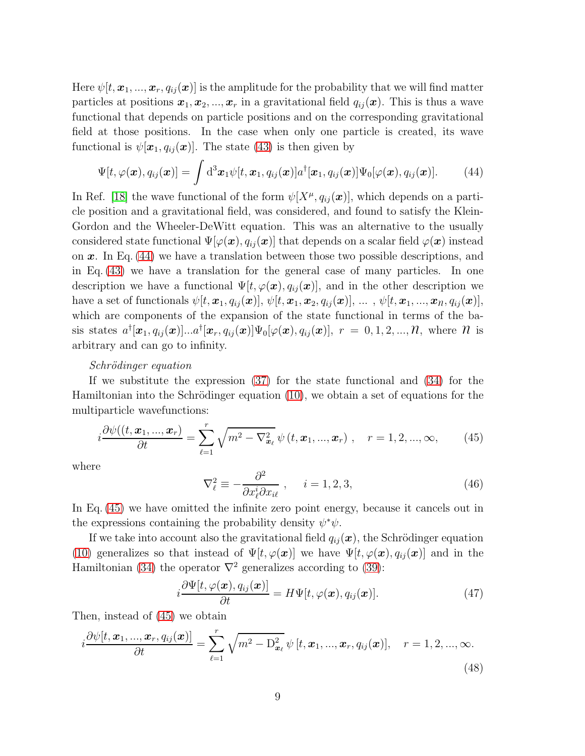Here  $\psi[t, \mathbf{x}_1, ..., \mathbf{x}_r, q_{ij}(\mathbf{x})]$  is the amplitude for the probability that we will find matter particles at positions  $x_1, x_2, ..., x_r$  in a gravitational field  $q_{ij}(x)$ . This is thus a wave functional that depends on particle positions and on the corresponding gravitational field at those positions. In the case when only one particle is created, its wave functional is  $\psi[\mathbf{x}_1, q_{ij}(\mathbf{x})]$ . The state [\(43\)](#page-7-3) is then given by

<span id="page-8-0"></span>
$$
\Psi[t,\varphi(\boldsymbol{x}),q_{ij}(\boldsymbol{x})] = \int d^3\boldsymbol{x}_1 \psi[t,\boldsymbol{x}_1,q_{ij}(\boldsymbol{x})] a^{\dagger}[\boldsymbol{x}_1,q_{ij}(\boldsymbol{x})] \Psi_0[\varphi(\boldsymbol{x}),q_{ij}(\boldsymbol{x})]. \tag{44}
$$

In Ref. [\[18\]](#page-28-11) the wave functional of the form  $\psi[X^{\mu}, q_{ij}(\boldsymbol{x})]$ , which depends on a particle position and a gravitational field, was considered, and found to satisfy the Klein-Gordon and the Wheeler-DeWitt equation. This was an alternative to the usually considered state functional  $\Psi[\varphi(\bm{x}), q_{ij}(\bm{x})]$  that depends on a scalar field  $\varphi(\bm{x})$  instead on  $x$ . In Eq. [\(44\)](#page-8-0) we have a translation between those two possible descriptions, and in Eq. [\(43\)](#page-7-3) we have a translation for the general case of many particles. In one description we have a functional  $\Psi[t, \varphi(\boldsymbol{x}), q_{ij}(\boldsymbol{x})]$ , and in the other description we have a set of functionals  $\psi[t, \boldsymbol{x}_1, q_{ij}(\boldsymbol{x})], \psi[t, \boldsymbol{x}_1, \boldsymbol{x}_2, q_{ij}(\boldsymbol{x})], \dots, \psi[t, \boldsymbol{x}_1, ..., \boldsymbol{x}_n, q_{ij}(\boldsymbol{x})],$ which are components of the expansion of the state functional in terms of the basis states  $a^{\dagger}[\bm{x}_1, q_{ij}(\bm{x})]...a^{\dagger}[\bm{x}_r, q_{ij}(\bm{x})]\Psi_0[\varphi(\bm{x}), q_{ij}(\bm{x})], r = 0, 1, 2, ..., N$ , where  $N$  is arbitrary and can go to infinity.

#### Schrödinger equation

If we substitute the expression [\(37\)](#page-6-1) for the state functional and [\(34\)](#page-6-2) for the Hamiltonian into the Schrödinger equation  $(10)$ , we obtain a set of equations for the multiparticle wavefunctions:

<span id="page-8-1"></span>
$$
i\frac{\partial\psi((t,\boldsymbol{x}_1,...,\boldsymbol{x}_r)}{\partial t}=\sum_{\ell=1}^r\sqrt{m^2-\nabla_{\boldsymbol{x}_\ell}^2}\,\psi\left(t,\boldsymbol{x}_1,...,\boldsymbol{x}_r\right)\,,\quad r=1,2,...,\infty,\qquad(45)
$$

where

$$
\nabla_{\ell}^{2} \equiv -\frac{\partial^{2}}{\partial x_{\ell}^{i} \partial x_{i\ell}} , \quad i = 1, 2, 3,
$$
\n(46)

In Eq. [\(45\)](#page-8-1) we have omitted the infinite zero point energy, because it cancels out in the expressions containing the probability density  $\psi^*\psi$ .

If we take into account also the gravitational field  $q_{ij}(\boldsymbol{x})$ , the Schrödinger equation [\(10\)](#page-3-5) generalizes so that instead of  $\Psi[t, \varphi(\boldsymbol{x})]$  we have  $\Psi[t, \varphi(\boldsymbol{x}), q_{ij}(\boldsymbol{x})]$  and in the Hamiltonian [\(34\)](#page-6-2) the operator  $\nabla^2$  generalizes according to [\(39\)](#page-7-4):

<span id="page-8-2"></span>
$$
i\frac{\partial\Psi[t,\varphi(\boldsymbol{x}),q_{ij}(\boldsymbol{x})]}{\partial t} = H\Psi[t,\varphi(\boldsymbol{x}),q_{ij}(\boldsymbol{x})].
$$
\n(47)

Then, instead of [\(45\)](#page-8-1) we obtain

<span id="page-8-3"></span>
$$
i\frac{\partial\psi[t,\boldsymbol{x}_{1},...,\boldsymbol{x}_{r},q_{ij}(\boldsymbol{x})]}{\partial t}=\sum_{\ell=1}^{r}\sqrt{m^{2}-D_{\boldsymbol{x}_{\ell}}^{2}}\,\psi\,[t,\boldsymbol{x}_{1},...,\boldsymbol{x}_{r},q_{ij}(\boldsymbol{x})],\quad r=1,2,...,\infty.
$$
\n(48)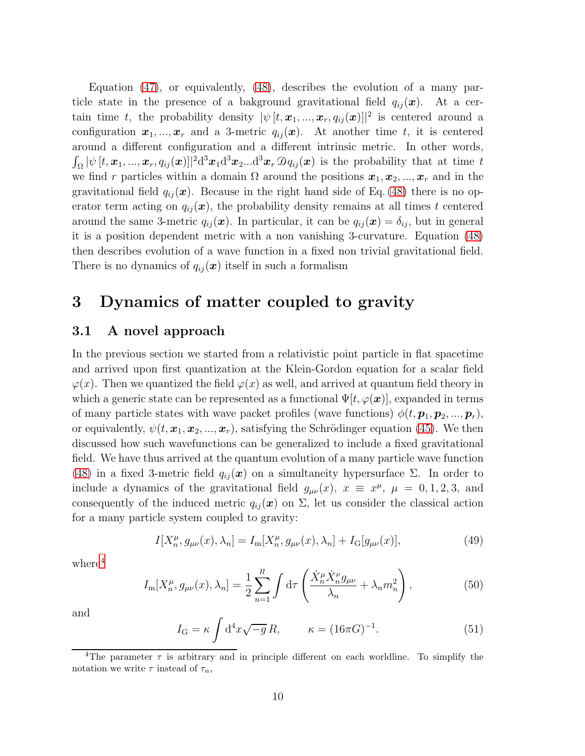Equation [\(47\)](#page-8-2), or equivalently, [\(48\)](#page-8-3), describes the evolution of a many particle state in the presence of a bakground gravitational field  $q_{ij}(\boldsymbol{x})$ . At a certain time t, the probability density  $|\psi[t, \boldsymbol{x}_1, ..., \boldsymbol{x}_r, q_{ij}(\boldsymbol{x})]|^2$  is centered around a configuration  $x_1, ..., x_r$  and a 3-metric  $q_{ij}(x)$ . At another time t, it is centered around a different configuration and a different intrinsic metric. In other words,  $\int_{\Omega} |\psi(t, x_1, ..., x_r, q_{ij}(x)||^2 d^3 x_1 d^3 x_2 ... d^3 x_r \mathcal{D} q_{ij}(x)$  is the probability that at time t we find r particles within a domain  $\Omega$  around the positions  $x_1, x_2, ..., x_r$  and in the gravitational field  $q_{ij}(\mathbf{x})$ . Because in the right hand side of Eq. [\(48\)](#page-8-3) there is no operator term acting on  $q_{ij}(\boldsymbol{x})$ , the probability density remains at all times t centered around the same 3-metric  $q_{ij}(\boldsymbol{x})$ . In particular, it can be  $q_{ij}(\boldsymbol{x}) = \delta_{ij}$ , but in general it is a position dependent metric with a non vanishing 3-curvature. Equation [\(48\)](#page-8-3) then describes evolution of a wave function in a fixed non trivial gravitational field. There is no dynamics of  $q_{ij}(\boldsymbol{x})$  itself in such a formalism

# 3 Dynamics of matter coupled to gravity

#### 3.1 A novel approach

In the previous section we started from a relativistic point particle in flat spacetime and arrived upon first quantization at the Klein-Gordon equation for a scalar field  $\varphi(x)$ . Then we quantized the field  $\varphi(x)$  as well, and arrived at quantum field theory in which a generic state can be represented as a functional  $\Psi[t, \varphi(\boldsymbol{x})]$ , expanded in terms of many particle states with wave packet profiles (wave functions)  $\phi(t, \mathbf{p}_1, \mathbf{p}_2, ..., \mathbf{p}_r)$ , or equivalently,  $\psi(t, x_1, x_2, ..., x_r)$ , satisfying the Schrödinger equation [\(45\)](#page-8-1). We then discussed how such wavefunctions can be generalized to include a fixed gravitational field. We have thus arrived at the quantum evolution of a many particle wave function [\(48\)](#page-8-3) in a fixed 3-metric field  $q_{ij}(\boldsymbol{x})$  on a simultaneity hypersurface  $\Sigma$ . In order to include a dynamics of the gravitational field  $g_{\mu\nu}(x)$ ,  $x \equiv x^{\mu}$ ,  $\mu = 0, 1, 2, 3$ , and consequently of the induced metric  $q_{ij}(\boldsymbol{x})$  on  $\Sigma$ , let us consider the classical action for a many particle system coupled to gravity:

<span id="page-9-2"></span>
$$
I[X_n^{\mu}, g_{\mu\nu}(x), \lambda_n] = I_m[X_n^{\mu}, g_{\mu\nu}(x), \lambda_n] + I_G[g_{\mu\nu}(x)],
$$
\n(49)

 $where<sup>4</sup>$  $where<sup>4</sup>$  $where<sup>4</sup>$ 

<span id="page-9-1"></span>
$$
I_{\mathbf{m}}[X_n^{\mu}, g_{\mu\nu}(x), \lambda_n] = \frac{1}{2} \sum_{n=1}^n \int \mathrm{d}\tau \left( \frac{\dot{X}_n^{\mu} \dot{X}_n^{\nu} g_{\mu\nu}}{\lambda_n} + \lambda_n m_n^2 \right),\tag{50}
$$

and

$$
I_{\mathcal{G}} = \kappa \int d^4x \sqrt{-g} R, \qquad \kappa = (16\pi G)^{-1}.
$$
 (51)

<span id="page-9-0"></span><sup>&</sup>lt;sup>4</sup>The parameter  $\tau$  is arbitrary and in principle different on each worldline. To simplify the notation we write  $\tau$  instead of  $\tau_n$ ,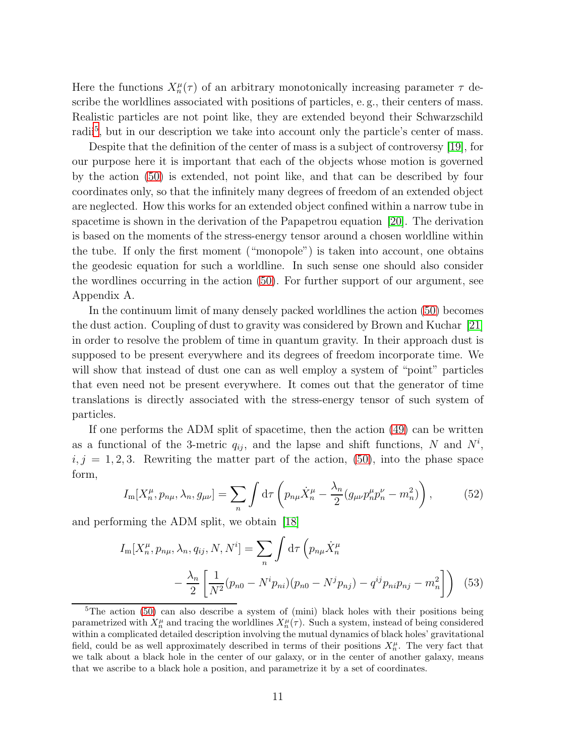Here the functions  $X_n^{\mu}(\tau)$  of an arbitrary monotonically increasing parameter  $\tau$  describe the worldlines associated with positions of particles, e. g., their centers of mass. Realistic particles are not point like, they are extended beyond their Schwarzschild radii<sup>[5](#page-10-0)</sup>, but in our description we take into account only the particle's center of mass.

Despite that the definition of the center of mass is a subject of controversy [\[19\]](#page-28-12), for our purpose here it is important that each of the objects whose motion is governed by the action [\(50\)](#page-9-1) is extended, not point like, and that can be described by four coordinates only, so that the infinitely many degrees of freedom of an extended object are neglected. How this works for an extended object confined within a narrow tube in spacetime is shown in the derivation of the Papapetrou equation [\[20\]](#page-29-0). The derivation is based on the moments of the stress-energy tensor around a chosen worldline within the tube. If only the first moment ("monopole") is taken into account, one obtains the geodesic equation for such a worldline. In such sense one should also consider the wordlines occurring in the action [\(50\)](#page-9-1). For further support of our argument, see Appendix A.

In the continuum limit of many densely packed worldlines the action [\(50\)](#page-9-1) becomes the dust action. Coupling of dust to gravity was considered by Brown and Kuchar [\[21\]](#page-29-1) in order to resolve the problem of time in quantum gravity. In their approach dust is supposed to be present everywhere and its degrees of freedom incorporate time. We will show that instead of dust one can as well employ a system of "point" particles that even need not be present everywhere. It comes out that the generator of time translations is directly associated with the stress-energy tensor of such system of particles.

If one performs the ADM split of spacetime, then the action [\(49\)](#page-9-2) can be written as a functional of the 3-metric  $q_{ij}$ , and the lapse and shift functions, N and  $N^i$ ,  $i, j = 1, 2, 3$ . Rewriting the matter part of the action, [\(50\)](#page-9-1), into the phase space form,

<span id="page-10-1"></span>
$$
I_{\mathbf{m}}[X_n^{\mu}, p_{n\mu}, \lambda_n, g_{\mu\nu}] = \sum_n \int \mathrm{d}\tau \left( p_{n\mu} \dot{X}_n^{\mu} - \frac{\lambda_n}{2} (g_{\mu\nu} p_n^{\mu} p_n^{\nu} - m_n^2) \right),\tag{52}
$$

and performing the ADM split, we obtain [\[18\]](#page-28-11)

<span id="page-10-2"></span>
$$
I_{\rm m}[X_n^{\mu}, p_{n\mu}, \lambda_n, q_{ij}, N, N^i] = \sum_n \int \mathrm{d}\tau \left( p_{n\mu} \dot{X}_n^{\mu} - \frac{\lambda_n}{2} \left[ \frac{1}{N^2} (p_{n0} - N^i p_{ni})(p_{n0} - N^j p_{nj}) - q^{ij} p_{ni} p_{nj} - m_n^2 \right] \right) \tag{53}
$$

<span id="page-10-0"></span><sup>&</sup>lt;sup>5</sup>The action [\(50\)](#page-9-1) can also describe a system of (mini) black holes with their positions being parametrized with  $X_n^{\mu}$  and tracing the worldlines  $X_n^{\mu}(\tau)$ . Such a system, instead of being considered within a complicated detailed description involving the mutual dynamics of black holes' gravitational field, could be as well approximately described in terms of their positions  $X_n^{\mu}$ . The very fact that we talk about a black hole in the center of our galaxy, or in the center of another galaxy, means that we ascribe to a black hole a position, and parametrize it by a set of coordinates.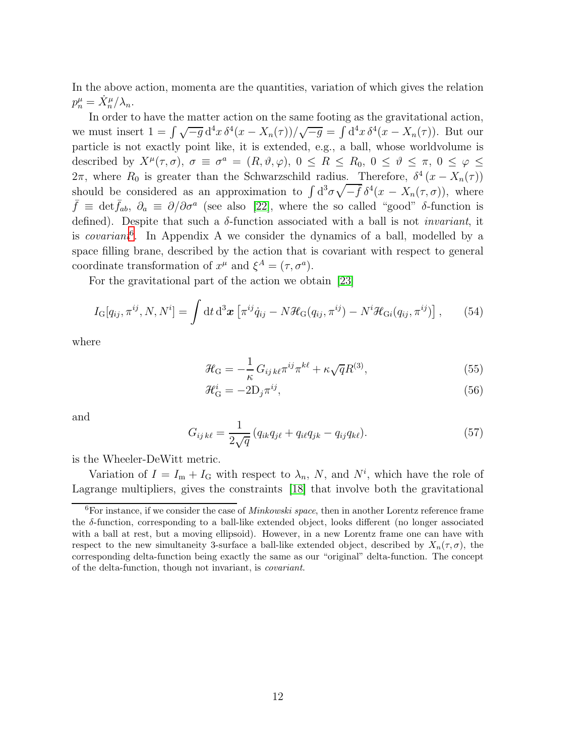In the above action, momenta are the quantities, variation of which gives the relation  $p_n^{\mu} = \dot{X}_n^{\mu}/\lambda_n.$ 

In order to have the matter action on the same footing as the gravitational action, we must insert  $1 = \int \sqrt{-g} d^4x \, \delta^4(x - X_n(\tau)) / \sqrt{-g} = \int d^4x \, \delta^4(x - X_n(\tau))$ . But our particle is not exactly point like, it is extended, e.g., a ball, whose worldvolume is described by  $X^{\mu}(\tau,\sigma)$ ,  $\sigma \equiv \sigma^a = (R,\vartheta,\varphi)$ ,  $0 \le R \le R_0$ ,  $0 \le \vartheta \le \pi$ ,  $0 \le \varphi \le$ 2π, where  $R_0$  is greater than the Schwarzschild radius. Therefore,  $\delta^4(x - X_n(\tau))$ should be considered as an approximation to  $\int d^3\sigma \sqrt{-\bar{f}} \,\delta^4(x - X_n(\tau,\sigma))$ , where  $\bar{f} \equiv \det \bar{f}_{ab}, \ \partial_a \equiv \partial/\partial \sigma^a$  (see also [\[22\]](#page-29-2), where the so called "good" δ-function is defined). Despite that such a  $\delta$ -function associated with a ball is not *invariant*, it is *covariant*<sup>[6](#page-11-0)</sup>. In Appendix A we consider the dynamics of a ball, modelled by a space filling brane, described by the action that is covariant with respect to general coordinate transformation of  $x^{\mu}$  and  $\xi^{A} = (\tau, \sigma^{a}).$ 

For the gravitational part of the action we obtain [\[23\]](#page-29-3)

$$
I_{\mathcal{G}}[q_{ij},\pi^{ij},N,N^{i}]=\int \mathrm{d}t\,\mathrm{d}^{3}\boldsymbol{x}\left[\pi^{ij}\dot{q}_{ij}-N\mathcal{H}_{\mathcal{G}}(q_{ij},\pi^{ij})-N^{i}\mathcal{H}_{\mathcal{G}}(q_{ij},\pi^{ij})\right],\qquad(54)
$$

where

<span id="page-11-1"></span>
$$
\mathcal{H}_{\mathcal{G}} = -\frac{1}{\kappa} G_{ij\,k\ell} \pi^{ij} \pi^{k\ell} + \kappa \sqrt{q} R^{(3)},\tag{55}
$$

$$
\mathcal{H}_{\mathcal{G}}^{i} = -2D_{j}\pi^{ij},\tag{56}
$$

and

<span id="page-11-2"></span>
$$
G_{ij\,k\ell} = \frac{1}{2\sqrt{q}} \left( q_{ik} q_{j\ell} + q_{i\ell} q_{jk} - q_{ij} q_{k\ell} \right). \tag{57}
$$

is the Wheeler-DeWitt metric.

Variation of  $I = I_m + I_G$  with respect to  $\lambda_n$ , N, and  $N^i$ , which have the role of Lagrange multipliers, gives the constraints [\[18\]](#page-28-11) that involve both the gravitational

<span id="page-11-0"></span> ${}^{6}$ For instance, if we consider the case of *Minkowski space*, then in another Lorentz reference frame the δ-function, corresponding to a ball-like extended object, looks different (no longer associated with a ball at rest, but a moving ellipsoid). However, in a new Lorentz frame one can have with respect to the new simultaneity 3-surface a ball-like extended object, described by  $X_n(\tau, \sigma)$ , the corresponding delta-function being exactly the same as our "original" delta-function. The concept of the delta-function, though not invariant, is covariant.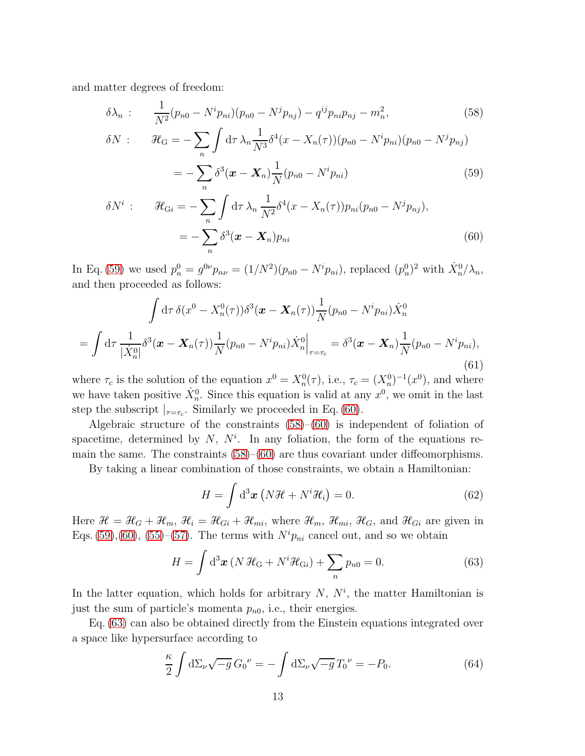and matter degrees of freedom:

<span id="page-12-0"></span>
$$
\delta\lambda_n: \frac{1}{N^2}(p_{n0} - N^i p_{ni})(p_{n0} - N^j p_{nj}) - q^{ij}p_{ni}p_{nj} - m_n^2,
$$
\n
$$
\delta N: \mathcal{H}_G = -\sum_n \int d\tau \,\lambda_n \frac{1}{N^3} \delta^4(x - X_n(\tau))(p_{n0} - N^i p_{ni})(p_{n0} - N^j p_{nj})
$$
\n(58)

$$
= -\sum_{n} \delta^{3}(\boldsymbol{x} - \boldsymbol{X}_{n}) \frac{1}{N} (p_{n0} - N^{i} p_{ni})
$$
\n(59)

$$
\delta N^{i} : \qquad \mathcal{H}_{\text{G}i} = -\sum_{n} \int \mathrm{d}\tau \,\lambda_{n} \frac{1}{N^{2}} \delta^{4}(x - X_{n}(\tau)) p_{ni} (p_{n0} - N^{j} p_{nj}),
$$

$$
= -\sum_{n} \delta^{3}(\boldsymbol{x} - \boldsymbol{X}_{n}) p_{ni}
$$
(60)

In Eq. [\(59\)](#page-12-0) we used  $p_n^0 = g^{0\nu} p_{n\nu} = (1/N^2)(p_{n0} - N^i p_{ni})$ , replaced  $(p_n^0)^2$  with  $\dot{X}_n^0/\lambda_n$ , and then proceeded as follows:

$$
\int d\tau \, \delta(x^0 - X_n^0(\tau)) \delta^3(\mathbf{x} - \mathbf{X}_n(\tau)) \frac{1}{N} (p_{n0} - N^i p_{ni}) \dot{X}_n^0
$$
  
= 
$$
\int d\tau \, \frac{1}{|\dot{X}_n^0|} \delta^3(\mathbf{x} - \mathbf{X}_n(\tau)) \frac{1}{N} (p_{n0} - N^i p_{ni}) \dot{X}_n^0 \Big|_{\tau = \tau_c} = \delta^3(\mathbf{x} - \mathbf{X}_n) \frac{1}{N} (p_{n0} - N^i p_{ni}),
$$
(61)

where  $\tau_c$  is the solution of the equation  $x^0 = X_n^0(\tau)$ , i.e.,  $\tau_c = (X_n^0)^{-1}(x^0)$ , and where we have taken positive  $\dot{X}_n^0$ . Since this equation is valid at any  $x^0$ , we omit in the last step the subscript  $|_{\tau=\tau_c}$ . Similarly we proceeded in Eq. [\(60\)](#page-12-0).

Algebraic structure of the constraints [\(58\)](#page-12-0)–[\(60\)](#page-12-0) is independent of foliation of spacetime, determined by  $N$ ,  $N<sup>i</sup>$ . In any foliation, the form of the equations remain the same. The constraints  $(58)$ – $(60)$  are thus covariant under diffeomorphisms.

By taking a linear combination of those constraints, we obtain a Hamiltonian:

$$
H = \int d^3x \left( N \mathcal{H} + N^i \mathcal{H}_i \right) = 0. \tag{62}
$$

Here  $\mathcal{H} = \mathcal{H}_G + \mathcal{H}_m$ ,  $\mathcal{H}_i = \mathcal{H}_{Gi} + \mathcal{H}_{mi}$ , where  $\mathcal{H}_m$ ,  $\mathcal{H}_{mi}$ ,  $\mathcal{H}_G$ , and  $\mathcal{H}_{Gi}$  are given in Eqs.  $(59)$ ,  $(60)$ ,  $(55)$ – $(57)$ . The terms with  $N^i p_{ni}$  cancel out, and so we obtain

<span id="page-12-1"></span>
$$
H = \int d^3 \boldsymbol{x} \left( N \mathcal{H}_G + N^i \mathcal{H}_{Gi} \right) + \sum_n p_{n0} = 0.
$$
 (63)

In the latter equation, which holds for arbitrary  $N$ ,  $N<sup>i</sup>$ , the matter Hamiltonian is just the sum of particle's momenta  $p_{n0}$ , i.e., their energies.

Eq. [\(63\)](#page-12-1) can also be obtained directly from the Einstein equations integrated over a space like hypersurface according to

<span id="page-12-2"></span>
$$
\frac{\kappa}{2} \int d\Sigma_{\nu} \sqrt{-g} \, G_0^{\nu} = -\int d\Sigma_{\nu} \sqrt{-g} \, T_0^{\nu} = -P_0. \tag{64}
$$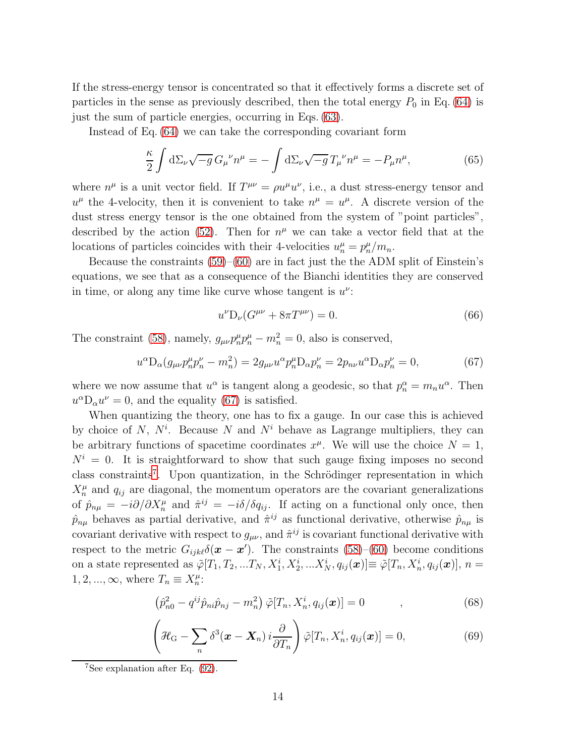If the stress-energy tensor is concentrated so that it effectively forms a discrete set of particles in the sense as previously described, then the total energy  $P_0$  in Eq. [\(64\)](#page-12-2) is just the sum of particle energies, occurring in Eqs. [\(63\)](#page-12-1).

Instead of Eq. [\(64\)](#page-12-2) we can take the corresponding covariant form

$$
\frac{\kappa}{2} \int d\Sigma_{\nu} \sqrt{-g} \, G_{\mu}^{\ \nu} n^{\mu} = -\int d\Sigma_{\nu} \sqrt{-g} \, T_{\mu}^{\ \nu} n^{\mu} = -P_{\mu} n^{\mu},\tag{65}
$$

where  $n^{\mu}$  is a unit vector field. If  $T^{\mu\nu} = \rho u^{\mu} u^{\nu}$ , i.e., a dust stress-energy tensor and  $u^{\mu}$  the 4-velocity, then it is convenient to take  $n^{\mu} = u^{\mu}$ . A discrete version of the dust stress energy tensor is the one obtained from the system of "point particles", described by the action [\(52\)](#page-10-1). Then for  $n^{\mu}$  we can take a vector field that at the locations of particles coincides with their 4-velocities  $u_n^{\mu} = p_n^{\mu}/m_n$ .

Because the constraints  $(59)$ – $(60)$  are in fact just the the ADM split of Einstein's equations, we see that as a consequence of the Bianchi identities they are conserved in time, or along any time like curve whose tangent is  $u^{\nu}$ :

$$
u^{\nu}D_{\nu}(G^{\mu\nu} + 8\pi T^{\mu\nu}) = 0.
$$
\n(66)

The constraint [\(58\)](#page-12-0), namely,  $g_{\mu\nu}p_n^{\mu}p_n^{\mu} - m_n^2 = 0$ , also is conserved,

<span id="page-13-0"></span>
$$
u^{\alpha} \mathcal{D}_{\alpha}(g_{\mu\nu} p_n^{\mu} p_n^{\nu} - m_n^2) = 2g_{\mu\nu} u^{\alpha} p_n^{\mu} \mathcal{D}_{\alpha} p_n^{\nu} = 2p_{n\nu} u^{\alpha} \mathcal{D}_{\alpha} p_n^{\nu} = 0, \tag{67}
$$

where we now assume that  $u^{\alpha}$  is tangent along a geodesic, so that  $p_n^{\alpha} = m_n u^{\alpha}$ . Then  $u^{\alpha}D_{\alpha}u^{\nu}=0$ , and the equality [\(67\)](#page-13-0) is satisfied.

When quantizing the theory, one has to fix a gauge. In our case this is achieved by choice of N,  $N^i$ . Because N and  $N^i$  behave as Lagrange multipliers, they can be arbitrary functions of spacetime coordinates  $x^{\mu}$ . We will use the choice  $N = 1$ ,  $N^{i} = 0$ . It is straightforward to show that such gauge fixing imposes no second class constraints<sup>[7](#page-13-1)</sup>. Upon quantization, in the Schrödinger representation in which  $X_n^{\mu}$  and  $q_{ij}$  are diagonal, the momentum operators are the covariant generalizations of  $\hat{p}_{n\mu} = -i\partial/\partial X_n^{\mu}$  and  $\hat{\pi}^{ij} = -i\delta/\delta q_{ij}$ . If acting on a functional only once, then  $\hat{p}_{n\mu}$  behaves as partial derivative, and  $\hat{\pi}^{ij}$  as functional derivative, otherwise  $\hat{p}_{n\mu}$  is covariant derivative with respect to  $g_{\mu\nu}$ , and  $\hat{\pi}^{ij}$  is covariant functional derivative with respect to the metric  $G_{ijk\ell}\delta(\mathbf{x}-\mathbf{x}')$ . The constraints [\(58\)](#page-12-0)–[\(60\)](#page-12-0) become conditions on a state represented as  $\tilde{\varphi}[T_1, T_2, ... T_N, X_1^i, X_2^i, ... X_N^i, q_{ij}(\boldsymbol{x})] \equiv \tilde{\varphi}[T_n, X_n^i, q_{ij}(\boldsymbol{x})]$ ,  $n =$  $1, 2, ..., \infty$ , where  $T_n \equiv X_n^{\mu}$ :

<span id="page-13-3"></span>
$$
\left(\hat{p}_{n0}^2 - q^{ij}\hat{p}_{ni}\hat{p}_{nj} - m_n^2\right)\tilde{\varphi}[T_n, X_n^i, q_{ij}(\boldsymbol{x})] = 0 \qquad , \qquad (68)
$$

<span id="page-13-2"></span>
$$
\left(\mathcal{H}_{\mathbf{G}}-\sum_{n}\delta^{3}(\boldsymbol{x}-\boldsymbol{X}_{n})\,i\frac{\partial}{\partial T_{n}}\right)\tilde{\varphi}[T_{n},X_{n}^{i},q_{ij}(\boldsymbol{x})]=0,
$$
\n(69)

<span id="page-13-1"></span> $7$ See explanation after Eq.  $(92)$ .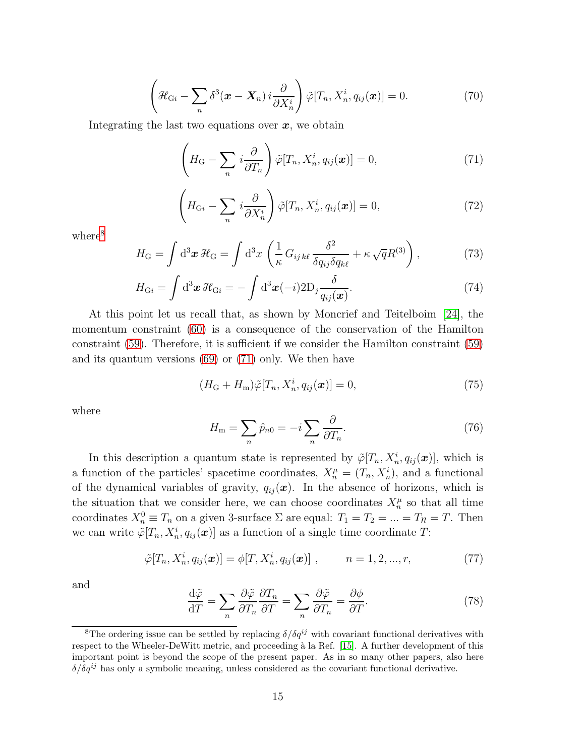<span id="page-14-3"></span>
$$
\left(\mathcal{H}_{Gi} - \sum_{n} \delta^{3}(\boldsymbol{x} - \boldsymbol{X}_{n}) i \frac{\partial}{\partial X_{n}^{i}}\right) \tilde{\varphi}[T_{n}, X_{n}^{i}, q_{ij}(\boldsymbol{x})] = 0.
$$
\n(70)

Integrating the last two equations over  $x$ , we obtain

<span id="page-14-1"></span>
$$
\left(H_{\mathcal{G}} - \sum_{n} i \frac{\partial}{\partial T_{n}}\right) \tilde{\varphi}[T_{n}, X_{n}^{i}, q_{ij}(\boldsymbol{x})] = 0, \qquad (71)
$$

<span id="page-14-4"></span>
$$
\left(H_{Gi} - \sum_{n} i \frac{\partial}{\partial X_n^i}\right) \tilde{\varphi}[T_n, X_n^i, q_{ij}(\boldsymbol{x})] = 0, \qquad (72)
$$

where<sup>[8](#page-14-0)</sup>

$$
H_{\rm G} = \int d^3 \boldsymbol{x} \, \mathcal{H}_{\rm G} = \int d^3 x \, \left( \frac{1}{\kappa} \, G_{ij \, k\ell} \, \frac{\delta^2}{\delta q_{ij} \delta q_{k\ell}} + \kappa \sqrt{q} R^{(3)} \right), \tag{73}
$$

$$
H_{\mathrm{G}i} = \int \mathrm{d}^3 \boldsymbol{x} \, \mathcal{H}_{\mathrm{G}i} = -\int \mathrm{d}^3 \boldsymbol{x} (-i) 2 \mathrm{D}_j \frac{\delta}{q_{ij}(\boldsymbol{x})}.
$$
 (74)

At this point let us recall that, as shown by Moncrief and Teitelboim [\[24\]](#page-29-4), the momentum constraint [\(60\)](#page-12-0) is a consequence of the conservation of the Hamilton constraint [\(59\)](#page-12-0). Therefore, it is sufficient if we consider the Hamilton constraint [\(59\)](#page-12-0) and its quantum versions [\(69\)](#page-13-2) or [\(71\)](#page-14-1) only. We then have

<span id="page-14-2"></span>
$$
(H_{\mathcal{G}} + H_{\mathbf{m}})\tilde{\varphi}[T_n, X_n^i, q_{ij}(\boldsymbol{x})] = 0,\t\t(75)
$$

where

$$
H_{\rm m} = \sum_{n} \hat{p}_{n0} = -i \sum_{n} \frac{\partial}{\partial T_n}.
$$
 (76)

In this description a quantum state is represented by  $\tilde{\varphi}[T_n, X_n^i, q_{ij}(\boldsymbol{x})]$ , which is a function of the particles' spacetime coordinates,  $X_n^{\mu} = (T_n, X_n^i)$ , and a functional of the dynamical variables of gravity,  $q_{ij}(\boldsymbol{x})$ . In the absence of horizons, which is the situation that we consider here, we can choose coordinates  $X_n^{\mu}$  so that all time coordinates  $X_n^0 \equiv T_n$  on a given 3-surface  $\Sigma$  are equal:  $T_1 = T_2 = ... = T_n = T$ . Then we can write  $\tilde{\varphi}[T_n, X_n^i, q_{ij}(\boldsymbol{x})]$  as a function of a single time coordinate T:

<span id="page-14-5"></span>
$$
\tilde{\varphi}[T_n, X_n^i, q_{ij}(\boldsymbol{x})] = \phi[T, X_n^i, q_{ij}(\boldsymbol{x})], \qquad n = 1, 2, ..., r,
$$
\n(77)

and

<span id="page-14-6"></span>
$$
\frac{\mathrm{d}\tilde{\varphi}}{\mathrm{d}T} = \sum_{n} \frac{\partial \tilde{\varphi}}{\partial T_n} \frac{\partial T_n}{\partial T} = \sum_{n} \frac{\partial \tilde{\varphi}}{\partial T_n} = \frac{\partial \phi}{\partial T}.
$$
\n(78)

<span id="page-14-0"></span><sup>&</sup>lt;sup>8</sup>The ordering issue can be settled by replacing  $\delta/\delta q^{ij}$  with covariant functional derivatives with respect to the Wheeler-DeWitt metric, and proceeding à la Ref. [\[15\]](#page-28-8). A further development of this important point is beyond the scope of the present paper. As in so many other papers, also here  $\delta/\delta q^{ij}$  has only a symbolic meaning, unless considered as the covariant functional derivative.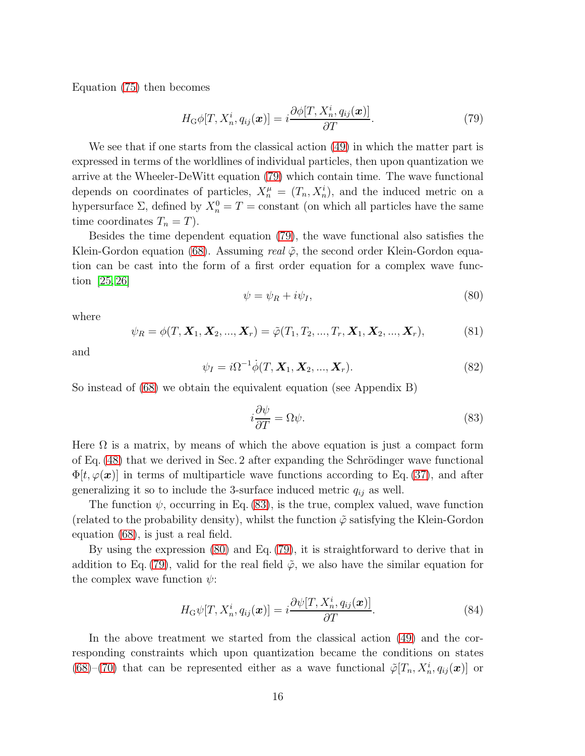Equation [\(75\)](#page-14-2) then becomes

<span id="page-15-0"></span>
$$
H_{\mathcal{G}}\phi[T, X_n^i, q_{ij}(\boldsymbol{x})] = i\frac{\partial\phi[T, X_n^i, q_{ij}(\boldsymbol{x})]}{\partial T}.
$$
\n(79)

We see that if one starts from the classical action [\(49\)](#page-9-2) in which the matter part is expressed in terms of the worldlines of individual particles, then upon quantization we arrive at the Wheeler-DeWitt equation [\(79\)](#page-15-0) which contain time. The wave functional depends on coordinates of particles,  $X_n^{\mu} = (T_n, X_n^i)$ , and the induced metric on a hypersurface  $\Sigma$ , defined by  $X_n^0 = T = \text{constant}$  (on which all particles have the same time coordinates  $T_n = T$ ).

Besides the time dependent equation [\(79\)](#page-15-0), the wave functional also satisfies the Klein-Gordon equation [\(68\)](#page-13-3). Assuming real  $\tilde{\varphi}$ , the second order Klein-Gordon equation can be cast into the form of a first order equation for a complex wave function  $[25, 26]$  $[25, 26]$ 

<span id="page-15-2"></span>
$$
\psi = \psi_R + i\psi_I,\tag{80}
$$

where

$$
\psi_R = \phi(T, \mathbf{X}_1, \mathbf{X}_2, ..., \mathbf{X}_r) = \tilde{\varphi}(T_1, T_2, ..., T_r, \mathbf{X}_1, \mathbf{X}_2, ..., \mathbf{X}_r),
$$
(81)

and

<span id="page-15-3"></span>
$$
\psi_I = i\Omega^{-1}\dot{\phi}(T, \mathbf{X}_1, \mathbf{X}_2, ..., \mathbf{X}_r). \tag{82}
$$

So instead of [\(68\)](#page-13-3) we obtain the equivalent equation (see Appendix B)

<span id="page-15-1"></span>
$$
i\frac{\partial \psi}{\partial T} = \Omega \psi.
$$
 (83)

Here  $\Omega$  is a matrix, by means of which the above equation is just a compact form of Eq.  $(48)$  that we derived in Sec. 2 after expanding the Schrödinger wave functional  $\Phi[t, \varphi(\boldsymbol{x})]$  in terms of multiparticle wave functions according to Eq. [\(37\)](#page-6-1), and after generalizing it so to include the 3-surface induced metric  $q_{ij}$  as well.

The function  $\psi$ , occurring in Eq. [\(83\)](#page-15-1), is the true, complex valued, wave function (related to the probability density), whilst the function  $\tilde{\varphi}$  satisfying the Klein-Gordon equation [\(68\)](#page-13-3), is just a real field.

By using the expression [\(80\)](#page-15-2) and Eq. [\(79\)](#page-15-0), it is straightforward to derive that in addition to Eq. [\(79\)](#page-15-0), valid for the real field  $\tilde{\varphi}$ , we also have the similar equation for the complex wave function  $\psi$ :

<span id="page-15-4"></span>
$$
H_{\mathcal{G}}\psi[T, X_n^i, q_{ij}(\boldsymbol{x})] = i\frac{\partial\psi[T, X_n^i, q_{ij}(\boldsymbol{x})]}{\partial T}.
$$
\n(84)

In the above treatment we started from the classical action [\(49\)](#page-9-2) and the corresponding constraints which upon quantization became the conditions on states [\(68\)](#page-13-3)–[\(70\)](#page-14-3) that can be represented either as a wave functional  $\tilde{\varphi}[T_n, X_n^i, q_{ij}(\boldsymbol{x})]$  or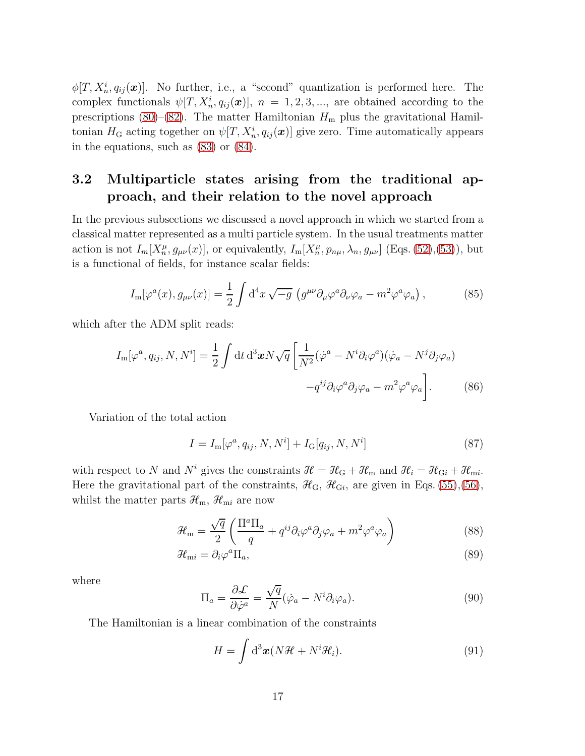$\phi[T, X_n^i, q_{ij}(\boldsymbol{x})].$  No further, i.e., a "second" quantization is performed here. The complex functionals  $\psi[T, X_n^i, q_{ij}(\boldsymbol{x})], n = 1, 2, 3, \dots$ , are obtained according to the prescriptions [\(80\)](#page-15-2)–[\(82\)](#page-15-3). The matter Hamiltonian  $H<sub>m</sub>$  plus the gravitational Hamiltonian  $H_G$  acting together on  $\psi[T, X_n^i, q_{ij}(\boldsymbol{x})]$  give zero. Time automatically appears in the equations, such as [\(83\)](#page-15-1) or [\(84\)](#page-15-4).

### 3.2 Multiparticle states arising from the traditional approach, and their relation to the novel approach

In the previous subsections we discussed a novel approach in which we started from a classical matter represented as a multi particle system. In the usual treatments matter action is not  $I_m[X_n^{\mu}, g_{\mu\nu}(x)]$ , or equivalently,  $I_m[X_n^{\mu}, p_{n\mu}, \lambda_n, g_{\mu\nu}]$  (Eqs. [\(52\)](#page-10-1), [\(53\)](#page-10-2)), but is a functional of fields, for instance scalar fields:

<span id="page-16-0"></span>
$$
I_{\rm m}[\varphi^a(x), g_{\mu\nu}(x)] = \frac{1}{2} \int d^4x \sqrt{-g} \left( g^{\mu\nu} \partial_\mu \varphi^a \partial_\nu \varphi_a - m^2 \varphi^a \varphi_a \right), \tag{85}
$$

which after the ADM split reads:

$$
I_{\mathbf{m}}[\varphi^a, q_{ij}, N, N^i] = \frac{1}{2} \int \mathrm{d}t \, \mathrm{d}^3 \boldsymbol{x} N \sqrt{q} \left[ \frac{1}{N^2} (\dot{\varphi}^a - N^i \partial_i \varphi^a)(\dot{\varphi}_a - N^j \partial_j \varphi_a) - q^{ij} \partial_i \varphi^a \partial_j \varphi_a - m^2 \varphi^a \varphi_a \right]. \tag{86}
$$

Variation of the total action

$$
I = I_{\rm m}[\varphi^a, q_{ij}, N, N^i] + I_{\rm G}[q_{ij}, N, N^i]
$$
\n(87)

with respect to N and N<sup>i</sup> gives the constraints  $\mathcal{H} = \mathcal{H}_{G} + \mathcal{H}_{m}$  and  $\mathcal{H}_{i} = \mathcal{H}_{Gi} + \mathcal{H}_{mi}$ . Here the gravitational part of the constraints,  $\mathcal{H}_{G}$ ,  $\mathcal{H}_{Gi}$ , are given in Eqs. [\(55\)](#page-11-1), [\(56\)](#page-11-1), whilst the matter parts  $\mathcal{H}_{m}$ ,  $\mathcal{H}_{mi}$  are now

$$
\mathcal{H}_{\rm m} = \frac{\sqrt{q}}{2} \left( \frac{\Pi^a \Pi_a}{q} + q^{ij} \partial_i \varphi^a \partial_j \varphi_a + m^2 \varphi^a \varphi_a \right) \tag{88}
$$

$$
\mathcal{H}_{\text{m}i} = \partial_i \varphi^a \Pi_a,\tag{89}
$$

where

$$
\Pi_a = \frac{\partial \mathcal{L}}{\partial \dot{\varphi}^a} = \frac{\sqrt{q}}{N} (\dot{\varphi}_a - N^i \partial_i \varphi_a). \tag{90}
$$

The Hamiltonian is a linear combination of the constraints

$$
H = \int d^3x (N\mathcal{H} + N^i \mathcal{H}_i).
$$
 (91)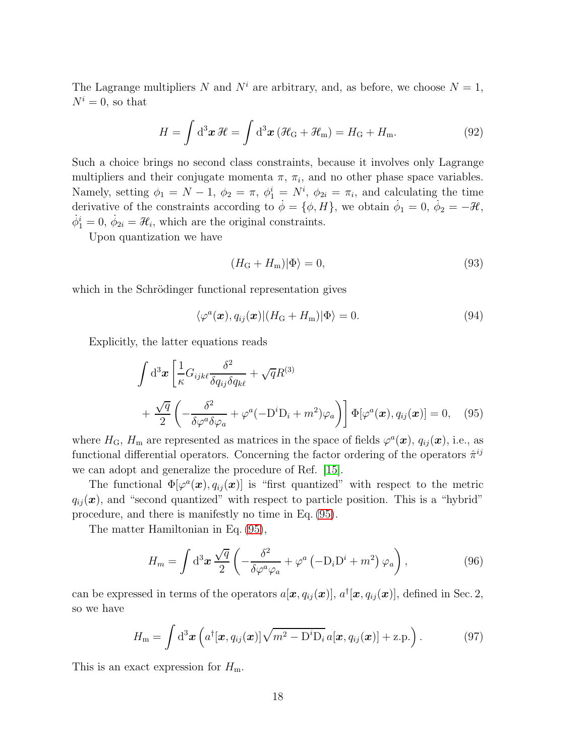The Lagrange multipliers N and  $N^i$  are arbitrary, and, as before, we choose  $N = 1$ ,  $N^i = 0$ , so that

<span id="page-17-0"></span>
$$
H = \int d^3 \boldsymbol{x} \, \mathcal{H} = \int d^3 \boldsymbol{x} \left( \mathcal{H}_G + \mathcal{H}_m \right) = H_G + H_m.
$$
 (92)

Such a choice brings no second class constraints, because it involves only Lagrange multipliers and their conjugate momenta  $\pi$ ,  $\pi_i$ , and no other phase space variables. Namely, setting  $\phi_1 = N - 1$ ,  $\phi_2 = \pi$ ,  $\phi_1^i = N^i$ ,  $\phi_{2i} = \pi_i$ , and calculating the time derivative of the constraints according to  $\dot{\phi} = \{\phi, H\}$ , we obtain  $\dot{\phi}_1 = 0$ ,  $\dot{\phi}_2 = -\mathcal{H}$ ,  $\dot{\phi}_1^i = 0, \, \dot{\phi}_{2i} = \mathcal{H}_i$ , which are the original constraints.

Upon quantization we have

$$
(H_{\rm G} + H_{\rm m})|\Phi\rangle = 0,\t\t(93)
$$

which in the Schrödinger functional representation gives

<span id="page-17-3"></span>
$$
\langle \varphi^a(\boldsymbol{x}), q_{ij}(\boldsymbol{x}) | (H_{\rm G} + H_{\rm m}) | \Phi \rangle = 0.
$$
\n(94)

Explicitly, the latter equations reads

$$
\int d^3x \left[ \frac{1}{\kappa} G_{ijk\ell} \frac{\delta^2}{\delta q_{ij} \delta q_{k\ell}} + \sqrt{q} R^{(3)} \right] + \frac{\sqrt{q}}{2} \left( -\frac{\delta^2}{\delta \varphi^a \delta \varphi_a} + \varphi^a (-D^i D_i + m^2) \varphi_a \right) \right] \Phi[\varphi^a(\boldsymbol{x}), q_{ij}(\boldsymbol{x})] = 0, \quad (95)
$$

<span id="page-17-1"></span>where  $H_G$ ,  $H_m$  are represented as matrices in the space of fields  $\varphi^a(\bm{x})$ ,  $q_{ij}(\bm{x})$ , i.e., as functional differential operators. Concerning the factor ordering of the operators  $\hat{\pi}^{ij}$ we can adopt and generalize the procedure of Ref. [\[15\]](#page-28-8).

The functional  $\Phi[\varphi^a(\bm{x}), q_{ij}(\bm{x})]$  is "first quantized" with respect to the metric  $q_{ij}(\boldsymbol{x})$ , and "second quantized" with respect to particle position. This is a "hybrid" procedure, and there is manifestly no time in Eq. [\(95\)](#page-17-1).

The matter Hamiltonian in Eq. [\(95\)](#page-17-1),

<span id="page-17-2"></span>
$$
H_m = \int \mathrm{d}^3 \boldsymbol{x} \, \frac{\sqrt{q}}{2} \left( -\frac{\delta^2}{\delta \varphi^a \varphi_a} + \varphi^a \left( -\mathrm{D}_i \mathrm{D}^i + m^2 \right) \varphi_a \right), \tag{96}
$$

can be expressed in terms of the operators  $a[\mathbf{x}, q_{ij}(\mathbf{x})]$ ,  $a^{\dagger}[\mathbf{x}, q_{ij}(\mathbf{x})]$ , defined in Sec. 2, so we have

$$
H_{\rm m} = \int d^3x \left( a^{\dagger} [\boldsymbol{x}, q_{ij}(\boldsymbol{x})] \sqrt{m^2 - D^i D_i} a[\boldsymbol{x}, q_{ij}(\boldsymbol{x})] + z.p. \right). \tag{97}
$$

This is an exact expression for  $H_{\rm m}$ .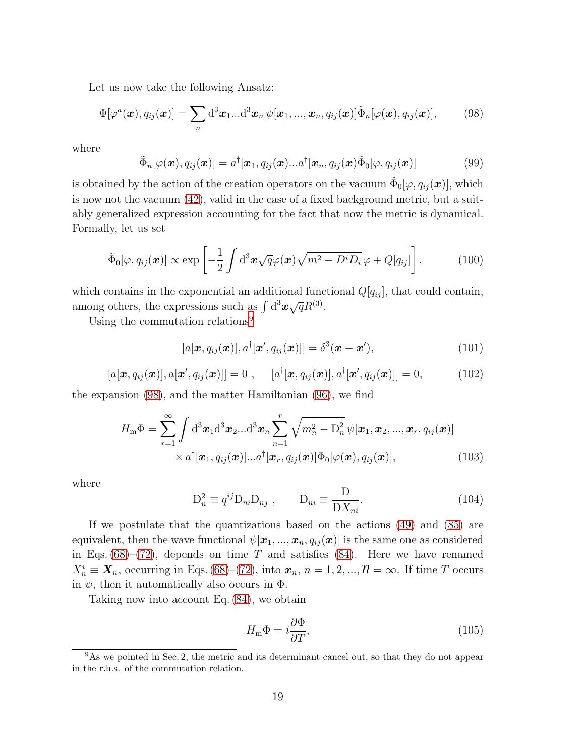Let us now take the following Ansatz:

<span id="page-18-1"></span>
$$
\Phi[\varphi^a(\boldsymbol{x}), q_{ij}(\boldsymbol{x})] = \sum_n d^3 \boldsymbol{x}_1 ... d^3 \boldsymbol{x}_n \, \psi[\boldsymbol{x}_1, ..., \boldsymbol{x}_n, q_{ij}(\boldsymbol{x})] \tilde{\Phi}_n[\varphi(\boldsymbol{x}), q_{ij}(\boldsymbol{x})], \qquad (98)
$$

where

$$
\tilde{\Phi}_n[\varphi(\boldsymbol{x}), q_{ij}(\boldsymbol{x})] = a^{\dagger}[\boldsymbol{x}_1, q_{ij}(\boldsymbol{x})...a^{\dagger}[\boldsymbol{x}_n, q_{ij}(\boldsymbol{x})\tilde{\Phi}_0[\varphi, q_{ij}(\boldsymbol{x})] \qquad (99)
$$

is obtained by the action of the creation operators on the vacuum  $\tilde{\Phi}_0[\varphi,q_{ij}(\boldsymbol{x})],$  which is now not the vacuum [\(42\)](#page-7-5), valid in the case of a fixed background metric, but a suitably generalized expression accounting for the fact that now the metric is dynamical. Formally, let us set

$$
\tilde{\Phi}_0[\varphi, q_{ij}(\boldsymbol{x})] \propto \exp\left[-\frac{1}{2}\int d^3\boldsymbol{x}\sqrt{q}\varphi(\boldsymbol{x})\sqrt{m^2-D^iD_i}\varphi+Q[q_{ij}]\right],\tag{100}
$$

which contains in the exponential an additional functional  $Q[q_{ij}]$ , that could contain, among others, the expressions such as  $\int d^3x \sqrt{q}R^{(3)}$ .

Using the commutation relations<sup>[9](#page-18-0)</sup>

$$
[a[\boldsymbol{x}, q_{ij}(\boldsymbol{x})], a^{\dagger}[\boldsymbol{x}', q_{ij}(\boldsymbol{x})]] = \delta^3(\boldsymbol{x} - \boldsymbol{x}'), \qquad (101)
$$

$$
[a[\boldsymbol{x}, q_{ij}(\boldsymbol{x})], a[\boldsymbol{x}', q_{ij}(\boldsymbol{x})]] = 0 , \quad [a^{\dagger}[\boldsymbol{x}, q_{ij}(\boldsymbol{x})], a^{\dagger}[\boldsymbol{x}', q_{ij}(\boldsymbol{x})]] = 0, \quad (102)
$$

the expansion [\(98\)](#page-18-1), and the matter Hamiltonian [\(96\)](#page-17-2), we find

$$
H_{\mathbf{m}}\Phi = \sum_{r=1}^{\infty} \int d^3 \boldsymbol{x}_1 d^3 \boldsymbol{x}_2 ... d^3 \boldsymbol{x}_n \sum_{n=1}^r \sqrt{m_n^2 - D_n^2} \psi[\boldsymbol{x}_1, \boldsymbol{x}_2, ..., \boldsymbol{x}_r, q_{ij}(\boldsymbol{x})]
$$

$$
\times a^{\dagger}[\boldsymbol{x}_1, q_{ij}(\boldsymbol{x})] ... a^{\dagger}[\boldsymbol{x}_r, q_{ij}(\boldsymbol{x})] \Phi_0[\varphi(\boldsymbol{x}), q_{ij}(\boldsymbol{x})], \qquad (103)
$$

where

$$
D_n^2 \equiv q^{ij} D_{ni} D_{nj} , \qquad D_{ni} \equiv \frac{D}{D X_{ni}}.
$$
 (104)

If we postulate that the quantizations based on the actions [\(49\)](#page-9-2) and [\(85\)](#page-16-0) are equivalent, then the wave functional  $\psi[\mathbf{x}_1, ..., \mathbf{x}_n, q_{ij}(\mathbf{x})]$  is the same one as considered in Eqs.  $(68)$ – $(72)$ , depends on time T and satisfies  $(84)$ . Here we have renamed  $X_n^i \equiv \mathbf{X}_n$ , occurring in Eqs. [\(68\)](#page-13-3)–[\(72\)](#page-14-4), into  $\mathbf{x}_n$ ,  $n = 1, 2, ..., \mathcal{N} = \infty$ . If time T occurs in  $\psi$ , then it automatically also occurs in  $\Phi$ .

Taking now into account Eq. [\(84\)](#page-15-4), we obtain

<span id="page-18-2"></span>
$$
H_{\rm m}\Phi = i\frac{\partial \Phi}{\partial T},\tag{105}
$$

<span id="page-18-0"></span><sup>&</sup>lt;sup>9</sup>As we pointed in Sec. 2, the metric and its determinant cancel out, so that they do not appear in the r.h.s. of the commutation relation.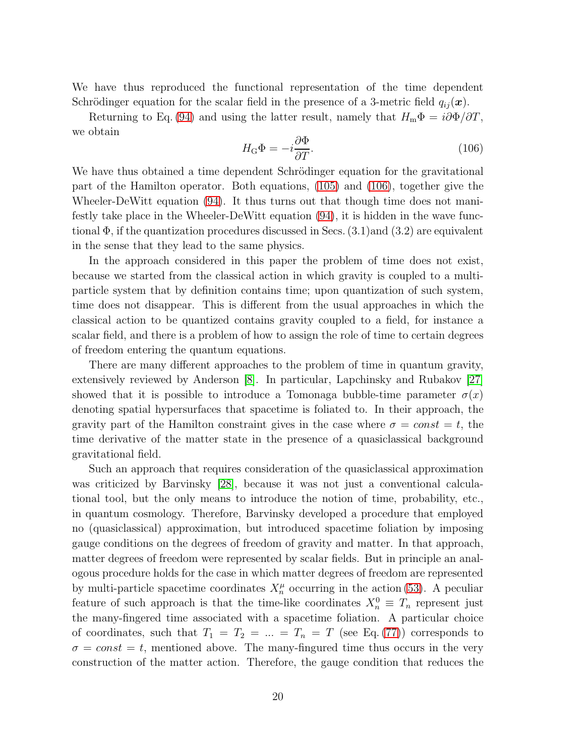We have thus reproduced the functional representation of the time dependent Schrödinger equation for the scalar field in the presence of a 3-metric field  $q_{ij}(\boldsymbol{x})$ .

Returning to Eq. [\(94\)](#page-17-3) and using the latter result, namely that  $H_m\Phi = i\partial\Phi/\partial T$ , we obtain

<span id="page-19-0"></span>
$$
H_{\rm G}\Phi = -i\frac{\partial \Phi}{\partial T}.\tag{106}
$$

We have thus obtained a time dependent Schrödinger equation for the gravitational part of the Hamilton operator. Both equations, [\(105\)](#page-18-2) and [\(106\)](#page-19-0), together give the Wheeler-DeWitt equation [\(94\)](#page-17-3). It thus turns out that though time does not manifestly take place in the Wheeler-DeWitt equation [\(94\)](#page-17-3), it is hidden in the wave functional  $\Phi$ , if the quantization procedures discussed in Secs.  $(3.1)$  and  $(3.2)$  are equivalent in the sense that they lead to the same physics.

In the approach considered in this paper the problem of time does not exist, because we started from the classical action in which gravity is coupled to a multiparticle system that by definition contains time; upon quantization of such system, time does not disappear. This is different from the usual approaches in which the classical action to be quantized contains gravity coupled to a field, for instance a scalar field, and there is a problem of how to assign the role of time to certain degrees of freedom entering the quantum equations.

There are many different approaches to the problem of time in quantum gravity, extensively reviewed by Anderson [\[8\]](#page-28-1). In particular, Lapchinsky and Rubakov [\[27\]](#page-29-7) showed that it is possible to introduce a Tomonaga bubble-time parameter  $\sigma(x)$ denoting spatial hypersurfaces that spacetime is foliated to. In their approach, the gravity part of the Hamilton constraint gives in the case where  $\sigma = const = t$ , the time derivative of the matter state in the presence of a quasiclassical background gravitational field.

Such an approach that requires consideration of the quasiclassical approximation was criticized by Barvinsky [\[28\]](#page-29-8), because it was not just a conventional calculational tool, but the only means to introduce the notion of time, probability, etc., in quantum cosmology. Therefore, Barvinsky developed a procedure that employed no (quasiclassical) approximation, but introduced spacetime foliation by imposing gauge conditions on the degrees of freedom of gravity and matter. In that approach, matter degrees of freedom were represented by scalar fields. But in principle an analogous procedure holds for the case in which matter degrees of freedom are represented by multi-particle spacetime coordinates  $X_n^{\mu}$  occurring in the action [\(53\)](#page-10-2). A peculiar feature of such approach is that the time-like coordinates  $X_n^0 \equiv T_n$  represent just the many-fingered time associated with a spacetime foliation. A particular choice of coordinates, such that  $T_1 = T_2 = ... = T_n = T$  (see Eq. [\(77\)](#page-14-5)) corresponds to  $\sigma = const = t$ , mentioned above. The many-fingured time thus occurs in the very construction of the matter action. Therefore, the gauge condition that reduces the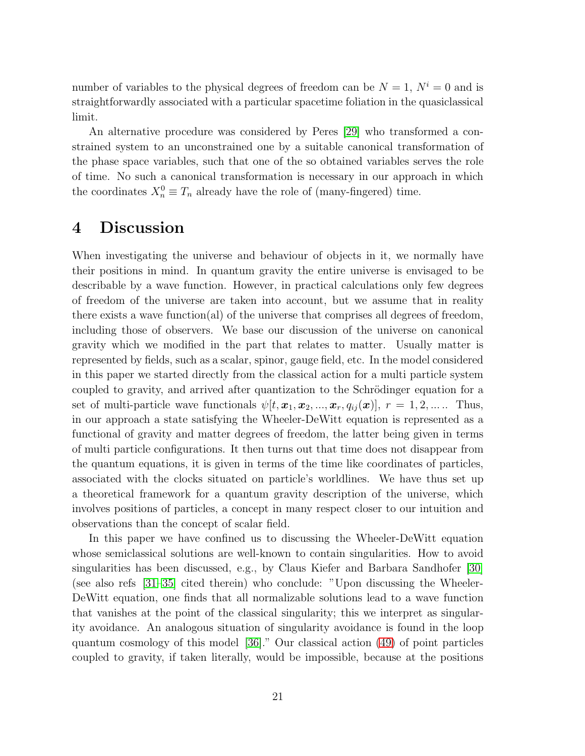number of variables to the physical degrees of freedom can be  $N = 1$ ,  $N^i = 0$  and is straightforwardly associated with a particular spacetime foliation in the quasiclassical limit.

An alternative procedure was considered by Peres [\[29\]](#page-29-9) who transformed a constrained system to an unconstrained one by a suitable canonical transformation of the phase space variables, such that one of the so obtained variables serves the role of time. No such a canonical transformation is necessary in our approach in which the coordinates  $X_n^0 \equiv T_n$  already have the role of (many-fingered) time.

## 4 Discussion

When investigating the universe and behaviour of objects in it, we normally have their positions in mind. In quantum gravity the entire universe is envisaged to be describable by a wave function. However, in practical calculations only few degrees of freedom of the universe are taken into account, but we assume that in reality there exists a wave function(al) of the universe that comprises all degrees of freedom, including those of observers. We base our discussion of the universe on canonical gravity which we modified in the part that relates to matter. Usually matter is represented by fields, such as a scalar, spinor, gauge field, etc. In the model considered in this paper we started directly from the classical action for a multi particle system coupled to gravity, and arrived after quantization to the Schrödinger equation for a set of multi-particle wave functionals  $\psi[t, \mathbf{x}_1, \mathbf{x}_2, ..., \mathbf{x}_r, q_{ij}(\mathbf{x})], r = 1, 2, ....$  Thus, in our approach a state satisfying the Wheeler-DeWitt equation is represented as a functional of gravity and matter degrees of freedom, the latter being given in terms of multi particle configurations. It then turns out that time does not disappear from the quantum equations, it is given in terms of the time like coordinates of particles, associated with the clocks situated on particle's worldlines. We have thus set up a theoretical framework for a quantum gravity description of the universe, which involves positions of particles, a concept in many respect closer to our intuition and observations than the concept of scalar field.

In this paper we have confined us to discussing the Wheeler-DeWitt equation whose semiclassical solutions are well-known to contain singularities. How to avoid singularities has been discussed, e.g., by Claus Kiefer and Barbara Sandhofer [\[30\]](#page-29-10) (see also refs [31–35] cited therein) who conclude: "Upon discussing the Wheeler-DeWitt equation, one finds that all normalizable solutions lead to a wave function that vanishes at the point of the classical singularity; this we interpret as singularity avoidance. An analogous situation of singularity avoidance is found in the loop quantum cosmology of this model [36]." Our classical action [\(49\)](#page-9-2) of point particles coupled to gravity, if taken literally, would be impossible, because at the positions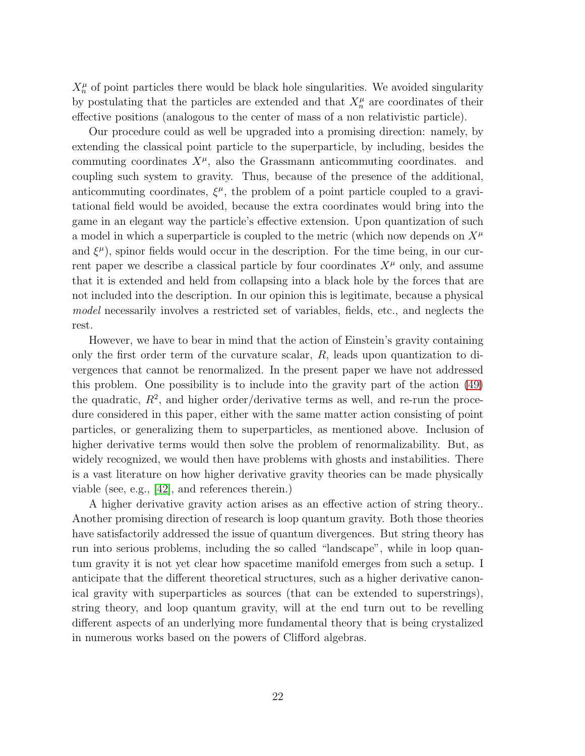$X_n^{\mu}$  of point particles there would be black hole singularities. We avoided singularity by postulating that the particles are extended and that  $X_n^{\mu}$  are coordinates of their effective positions (analogous to the center of mass of a non relativistic particle).

Our procedure could as well be upgraded into a promising direction: namely, by extending the classical point particle to the superparticle, by including, besides the commuting coordinates  $X^{\mu}$ , also the Grassmann anticommuting coordinates. and coupling such system to gravity. Thus, because of the presence of the additional, anticommuting coordinates,  $\xi^{\mu}$ , the problem of a point particle coupled to a gravitational field would be avoided, because the extra coordinates would bring into the game in an elegant way the particle's effective extension. Upon quantization of such a model in which a superparticle is coupled to the metric (which now depends on  $X^{\mu}$ and  $\xi^{\mu}$ ), spinor fields would occur in the description. For the time being, in our current paper we describe a classical particle by four coordinates  $X^{\mu}$  only, and assume that it is extended and held from collapsing into a black hole by the forces that are not included into the description. In our opinion this is legitimate, because a physical model necessarily involves a restricted set of variables, fields, etc., and neglects the rest.

However, we have to bear in mind that the action of Einstein's gravity containing only the first order term of the curvature scalar, R, leads upon quantization to divergences that cannot be renormalized. In the present paper we have not addressed this problem. One possibility is to include into the gravity part of the action [\(49\)](#page-9-2) the quadratic,  $R^2$ , and higher order/derivative terms as well, and re-run the procedure considered in this paper, either with the same matter action consisting of point particles, or generalizing them to superparticles, as mentioned above. Inclusion of higher derivative terms would then solve the problem of renormalizability. But, as widely recognized, we would then have problems with ghosts and instabilities. There is a vast literature on how higher derivative gravity theories can be made physically viable (see, e.g., [\[42\]](#page-30-0), and references therein.)

A higher derivative gravity action arises as an effective action of string theory.. Another promising direction of research is loop quantum gravity. Both those theories have satisfactorily addressed the issue of quantum divergences. But string theory has run into serious problems, including the so called "landscape", while in loop quantum gravity it is not yet clear how spacetime manifold emerges from such a setup. I anticipate that the different theoretical structures, such as a higher derivative canonical gravity with superparticles as sources (that can be extended to superstrings), string theory, and loop quantum gravity, will at the end turn out to be revelling different aspects of an underlying more fundamental theory that is being crystalized in numerous works based on the powers of Clifford algebras.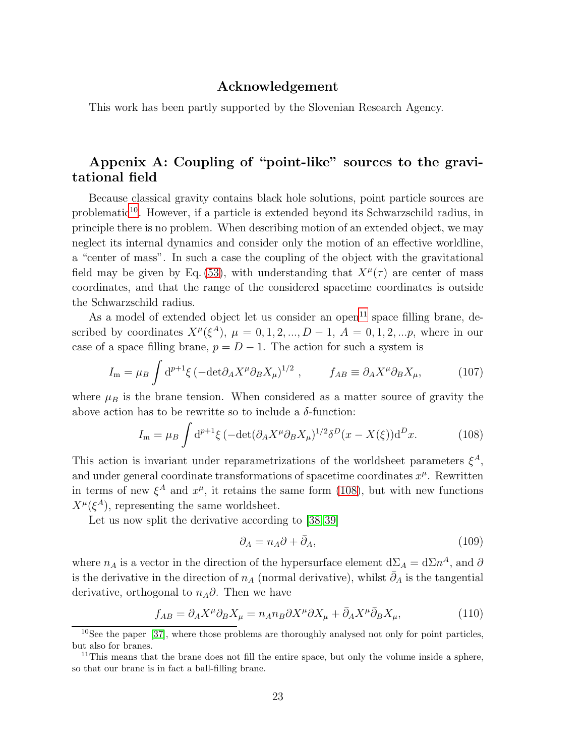#### Acknowledgement

This work has been partly supported by the Slovenian Research Agency.

#### Appenix A: Coupling of "point-like" sources to the gravitational field

Because classical gravity contains black hole solutions, point particle sources are problematic<sup>[10](#page-22-0)</sup>. However, if a particle is extended beyond its Schwarzschild radius, in principle there is no problem. When describing motion of an extended object, we may neglect its internal dynamics and consider only the motion of an effective worldline, a "center of mass". In such a case the coupling of the object with the gravitational field may be given by Eq. [\(53\)](#page-10-2), with understanding that  $X^{\mu}(\tau)$  are center of mass coordinates, and that the range of the considered spacetime coordinates is outside the Schwarzschild radius.

As a model of extended object let us consider an open<sup>[11](#page-22-1)</sup> space filling brane, described by coordinates  $X^{\mu}(\xi^{A}), \mu = 0, 1, 2, ..., D - 1, A = 0, 1, 2, ..., p$ , where in our case of a space filling brane,  $p = D - 1$ . The action for such a system is

<span id="page-22-5"></span>
$$
I_{\rm m} = \mu_B \int d^{p+1} \xi \left( -\det \partial_A X^\mu \partial_B X_\mu \right)^{1/2} , \qquad f_{AB} \equiv \partial_A X^\mu \partial_B X_\mu, \tag{107}
$$

where  $\mu_B$  is the brane tension. When considered as a matter source of gravity the above action has to be rewritte so to include a  $\delta$ -function:

<span id="page-22-2"></span>
$$
I_{\mathbf{m}} = \mu_B \int d^{p+1}\xi \left( -\det(\partial_A X^\mu \partial_B X_\mu)^{1/2} \delta^D(x - X(\xi)) d^D x. \right) \tag{108}
$$

This action is invariant under reparametrizations of the worldsheet parameters  $\xi^A$ , and under general coordinate transformations of spacetime coordinates  $x^{\mu}$ . Rewritten in terms of new  $\xi^A$  and  $x^{\mu}$ , it retains the same form [\(108\)](#page-22-2), but with new functions  $X^{\mu}(\xi^A)$ , representing the same worldsheet.

Let us now split the derivative according to [\[38,](#page-30-1) [39\]](#page-30-2)

<span id="page-22-4"></span>
$$
\partial_A = n_A \partial + \bar{\partial}_A,\tag{109}
$$

where  $n_A$  is a vector in the direction of the hypersurface element  $d\Sigma_A = d\Sigma n^A$ , and  $\partial$ is the derivative in the direction of  $n_A$  (normal derivative), whilst  $\partial_A$  is the tangential derivative, orthogonal to  $n_A\partial$ . Then we have

<span id="page-22-3"></span>
$$
f_{AB} = \partial_A X^\mu \partial_B X_\mu = n_A n_B \partial X^\mu \partial X_\mu + \bar{\partial}_A X^\mu \bar{\partial}_B X_\mu, \tag{110}
$$

<span id="page-22-0"></span><sup>&</sup>lt;sup>10</sup>See the paper [\[37\]](#page-30-3), where those problems are thoroughly analysed not only for point particles, but also for branes.

<span id="page-22-1"></span> $11$ This means that the brane does not fill the entire space, but only the volume inside a sphere, so that our brane is in fact a ball-filling brane.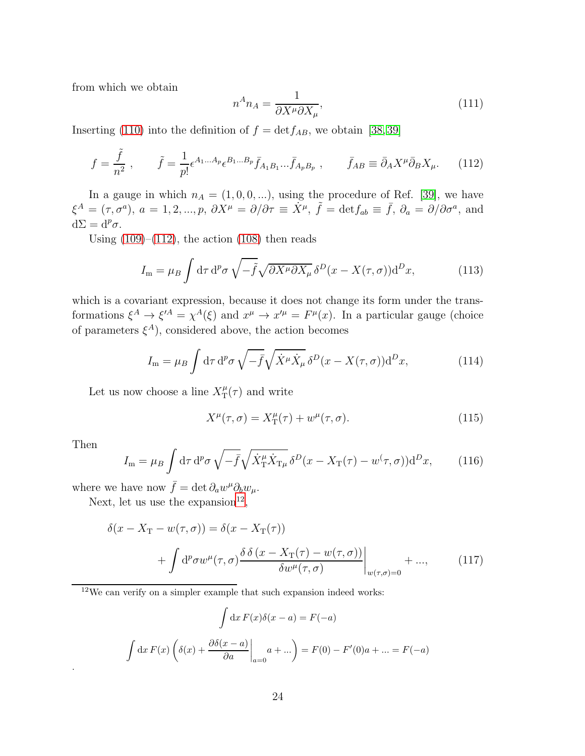from which we obtain

$$
n^A n_A = \frac{1}{\partial X^\mu \partial X_\mu},\tag{111}
$$

Inserting [\(110\)](#page-22-3) into the definition of  $f = det f_{AB}$ , we obtain [\[38,](#page-30-1) [39\]](#page-30-2)

<span id="page-23-0"></span>
$$
f = \frac{\tilde{f}}{n^2}, \qquad \tilde{f} = \frac{1}{p!} \epsilon^{A_1 \dots A_p} \epsilon^{B_1 \dots B_p} \bar{f}_{A_1 B_1} \dots \bar{f}_{A_p B_p} , \qquad \bar{f}_{AB} \equiv \bar{\partial}_A X^\mu \bar{\partial}_B X_\mu.
$$
 (112)

In a gauge in which  $n_A = (1, 0, 0, ...)$ , using the procedure of Ref. [\[39\]](#page-30-2), we have  $\xi^{A} = (\tau, \sigma^{a}), a = 1, 2, ..., p, \ \partial X^{\mu} = \partial/\partial \tau \equiv \dot{X}^{\mu}, \ \tilde{f} = \det f_{ab} \equiv \bar{f}, \ \partial_{a} = \partial/\partial \sigma^{a}, \ \text{and}$  $d\Sigma = d^p\sigma.$ 

Using  $(109)$ – $(112)$ , the action  $(108)$  then reads

$$
I_{\rm m} = \mu_B \int d\tau \, d^p \sigma \, \sqrt{-\tilde{f}} \sqrt{\partial X^\mu \partial X_\mu} \, \delta^D(x - X(\tau, \sigma)) d^D x,\tag{113}
$$

which is a covariant expression, because it does not change its form under the transformations  $\xi^A \to \xi'^A = \chi^A(\xi)$  and  $x^\mu \to x'^\mu = F^\mu(x)$ . In a particular gauge (choice of parameters  $\xi^{A}$ ), considered above, the action becomes

$$
I_{\rm m} = \mu_B \int d\tau \, d^p \sigma \, \sqrt{-\bar{f}} \sqrt{\dot{X}^\mu \dot{X}_\mu} \, \delta^D(x - X(\tau, \sigma)) d^D x,\tag{114}
$$

Let us now choose a line  $X_T^{\mu}$  $T(\tau)$  and write

$$
X^{\mu}(\tau,\sigma) = X^{\mu}_{\mathcal{T}}(\tau) + w^{\mu}(\tau,\sigma). \tag{115}
$$

Then

.

<span id="page-23-2"></span>
$$
I_{\rm m} = \mu_B \int d\tau \, d^p \sigma \, \sqrt{-\bar{f}} \sqrt{\dot{X}_{\rm T}^{\mu} \dot{X}_{\rm T\mu}} \, \delta^D(x - X_{\rm T}(\tau) - w(\tau, \sigma)) \, d^D x,\tag{116}
$$

where we have now  $\bar{f} = \det \partial_a w^{\mu} \partial_b w_{\mu}$ .

Next, let us use the expansion<sup>[12](#page-23-1)</sup>,

$$
\delta(x - X_{\mathcal{T}} - w(\tau, \sigma)) = \delta(x - X_{\mathcal{T}}(\tau)) + \int d^p \sigma w^{\mu}(\tau, \sigma) \frac{\delta \delta (x - X_{\mathcal{T}}(\tau) - w(\tau, \sigma))}{\delta w^{\mu}(\tau, \sigma)} \Big|_{w(\tau, \sigma) = 0} + ...,
$$
(117)

<span id="page-23-1"></span><sup>12</sup>We can verify on a simpler example that such expansion indeed works:

$$
\int dx F(x)\delta(x-a) = F(-a)
$$

$$
\int dx F(x)\left(\delta(x) + \frac{\partial \delta(x-a)}{\partial a}\bigg|_{a=0}a + \dots\right) = F(0) - F'(0)a + \dots = F(-a)
$$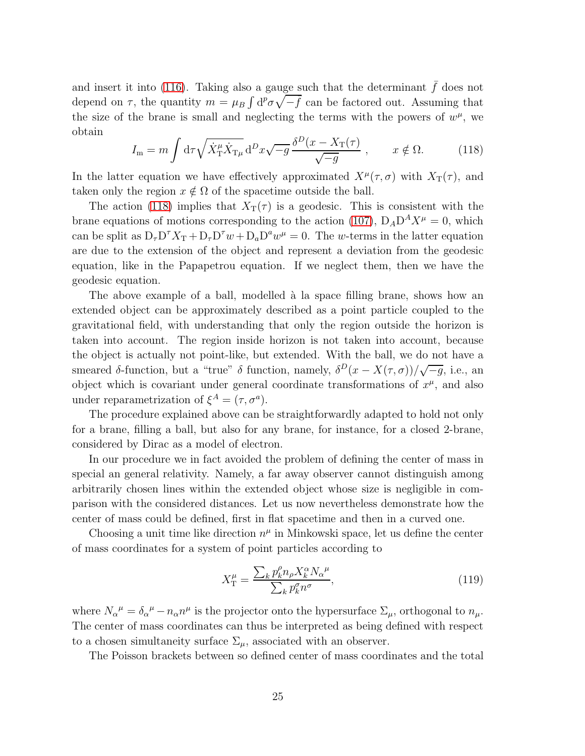and insert it into [\(116\)](#page-23-2). Taking also a gauge such that the determinant  $\bar{f}$  does not depend on  $\tau$ , the quantity  $m = \mu_B \int d^p \sigma \sqrt{-\bar{f}}$  can be factored out. Assuming that the size of the brane is small and neglecting the terms with the powers of  $w^{\mu}$ , we obtain

<span id="page-24-0"></span>
$$
I_{\rm m} = m \int d\tau \sqrt{\dot{X}_{\rm T}^{\mu} \dot{X}_{\rm T\mu}} d^D x \sqrt{-g} \frac{\delta^D (x - X_{\rm T}(\tau))}{\sqrt{-g}} , \qquad x \notin \Omega.
$$
 (118)

In the latter equation we have effectively approximated  $X^{\mu}(\tau,\sigma)$  with  $X_{\text{T}}(\tau)$ , and taken only the region  $x \notin \Omega$  of the spacetime outside the ball.

The action [\(118\)](#page-24-0) implies that  $X_T(\tau)$  is a geodesic. This is consistent with the brane equations of motions corresponding to the action [\(107\)](#page-22-5),  $D_A D^A X^{\mu} = 0$ , which can be split as  $D_{\tau}D^{\tau}X_{T} + D_{\tau}D^{\tau}w + D_{a}D^{a}w^{\mu} = 0$ . The w-terms in the latter equation are due to the extension of the object and represent a deviation from the geodesic equation, like in the Papapetrou equation. If we neglect them, then we have the geodesic equation.

The above example of a ball, modelled à la space filling brane, shows how an extended object can be approximately described as a point particle coupled to the gravitational field, with understanding that only the region outside the horizon is taken into account. The region inside horizon is not taken into account, because the object is actually not point-like, but extended. With the ball, we do not have a smeared  $\delta$ -function, but a "true"  $\delta$  function, namely,  $\delta^D(x - X(\tau, \sigma))/\sqrt{-g}$ , i.e., an object which is covariant under general coordinate transformations of  $x^{\mu}$ , and also under reparametrization of  $\xi^A = (\tau, \sigma^a)$ .

The procedure explained above can be straightforwardly adapted to hold not only for a brane, filling a ball, but also for any brane, for instance, for a closed 2-brane, considered by Dirac as a model of electron.

In our procedure we in fact avoided the problem of defining the center of mass in special an general relativity. Namely, a far away observer cannot distinguish among arbitrarily chosen lines within the extended object whose size is negligible in comparison with the considered distances. Let us now nevertheless demonstrate how the center of mass could be defined, first in flat spacetime and then in a curved one.

Choosing a unit time like direction  $n^{\mu}$  in Minkowski space, let us define the center of mass coordinates for a system of point particles according to

$$
X_{\rm T}^{\mu} = \frac{\sum_{k} p_k^{\rho} n_{\rho} X_k^{\alpha} N_{\alpha}^{\mu}}{\sum_{k} p_k^{\sigma} n^{\sigma}},\tag{119}
$$

where  $N_{\alpha}{}^{\mu} = \delta_{\alpha}{}^{\mu} - n_{\alpha} n^{\mu}$  is the projector onto the hypersurface  $\Sigma_{\mu}$ , orthogonal to  $n_{\mu}$ . The center of mass coordinates can thus be interpreted as being defined with respect to a chosen simultaneity surface  $\Sigma_{\mu}$ , associated with an observer.

The Poisson brackets between so defined center of mass coordinates and the total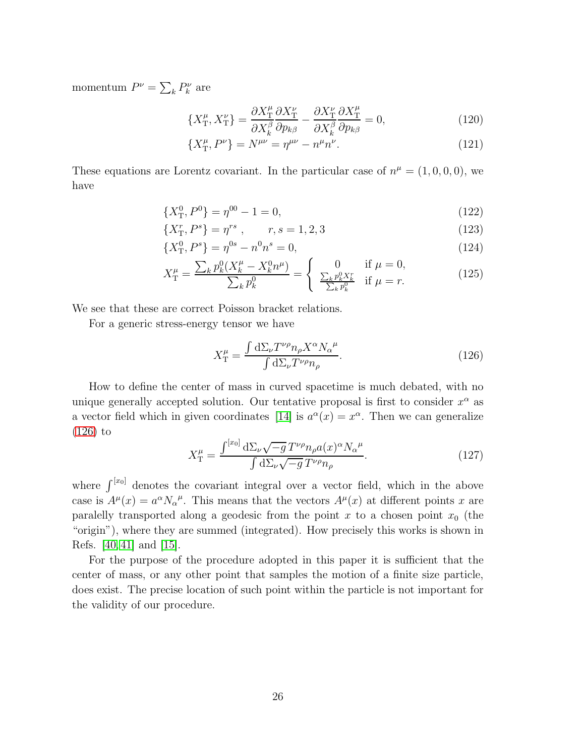momentum  $P^{\nu} = \sum_{k} P^{\nu}_{k}$  are

$$
\{X_{\rm T}^{\mu}, X_{\rm T}^{\nu}\} = \frac{\partial X_{\rm T}^{\mu}}{\partial X_{k}^{\beta}} \frac{\partial X_{\rm T}^{\nu}}{\partial p_{k\beta}} - \frac{\partial X_{\rm T}^{\nu}}{\partial X_{k}^{\beta}} \frac{\partial X_{\rm T}^{\mu}}{\partial p_{k\beta}} = 0, \tag{120}
$$

$$
\{X_{\rm T}^{\mu}, P^{\nu}\} = N^{\mu\nu} = \eta^{\mu\nu} - n^{\mu}n^{\nu}.
$$
 (121)

These equations are Lorentz covariant. In the particular case of  $n^{\mu} = (1, 0, 0, 0)$ , we have

$$
\{X_{\rm T}^0, P^0\} = \eta^{00} - 1 = 0,\tag{122}
$$

$$
\{X_{\mathcal{T}}^{r}, P^{s}\} = \eta^{rs} , \qquad r, s = 1, 2, 3
$$
\n<sup>(123)</sup>

$$
\{X_{\rm T}^0, P^s\} = \eta^{0s} - n^0 n^s = 0,\tag{124}
$$

$$
X_{\rm T}^{\mu} = \frac{\sum_{k} p_k^0 (X_k^{\mu} - X_k^0 n^{\mu})}{\sum_{k} p_k^0} = \begin{cases} 0 & \text{if } \mu = 0, \\ \frac{\sum_{k} p_k^0 X_k^r}{\sum_{k} p_k^0} & \text{if } \mu = r. \end{cases}
$$
(125)

We see that these are correct Poisson bracket relations.

For a generic stress-energy tensor we have

<span id="page-25-0"></span>
$$
X_{\rm T}^{\mu} = \frac{\int \mathrm{d}\Sigma_{\nu} T^{\nu \rho} n_{\rho} X^{\alpha} N_{\alpha}^{\mu}}{\int \mathrm{d}\Sigma_{\nu} T^{\nu \rho} n_{\rho}}.
$$
\n(126)

How to define the center of mass in curved spacetime is much debated, with no unique generally accepted solution. Our tentative proposal is first to consider  $x^{\alpha}$  as a vector field which in given coordinates [\[14\]](#page-28-7) is  $a^{\alpha}(x) = x^{\alpha}$ . Then we can generalize [\(126\)](#page-25-0) to

$$
X_{\rm T}^{\mu} = \frac{\int^{[x_0]} d\Sigma_{\nu}\sqrt{-g} \, T^{\nu\rho} n_{\rho} a(x)^{\alpha} N_{\alpha}^{\mu}}{\int d\Sigma_{\nu}\sqrt{-g} \, T^{\nu\rho} n_{\rho}}.
$$
 (127)

where  $\int^{[x_0]}$  denotes the covariant integral over a vector field, which in the above case is  $A^{\mu}(x) = a^{\alpha} N_{\alpha}{}^{\mu}$ . This means that the vectors  $A^{\mu}(x)$  at different points x are paralelly transported along a geodesic from the point x to a chosen point  $x_0$  (the "origin"), where they are summed (integrated). How precisely this works is shown in Refs. [\[40,](#page-30-4) [41\]](#page-30-5) and [\[15\]](#page-28-8).

For the purpose of the procedure adopted in this paper it is sufficient that the center of mass, or any other point that samples the motion of a finite size particle, does exist. The precise location of such point within the particle is not important for the validity of our procedure.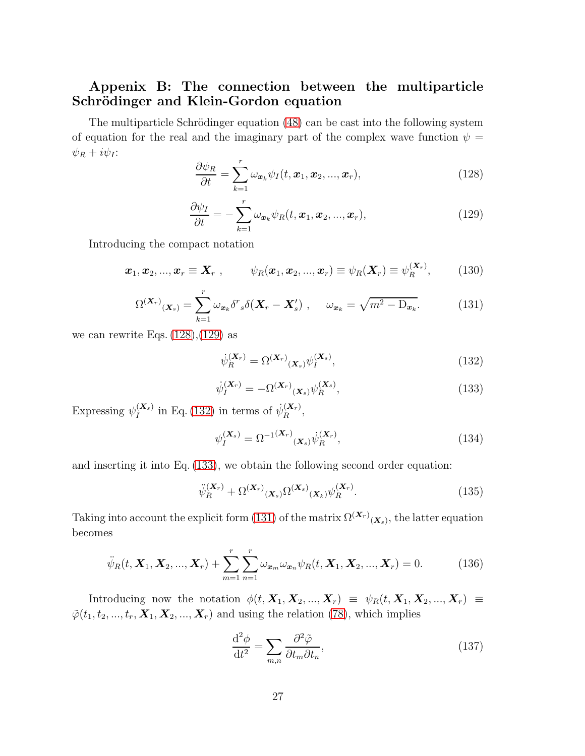### Appenix B: The connection between the multiparticle Schrödinger and Klein-Gordon equation

The multiparticle Schrödinger equation [\(48\)](#page-8-3) can be cast into the following system of equation for the real and the imaginary part of the complex wave function  $\psi =$  $\psi_R + i\psi_I$ :

<span id="page-26-0"></span>
$$
\frac{\partial \psi_R}{\partial t} = \sum_{k=1}^r \omega_{\mathbf{x}_k} \psi_I(t, \mathbf{x}_1, \mathbf{x}_2, ..., \mathbf{x}_r),
$$
\n(128)

<span id="page-26-1"></span>
$$
\frac{\partial \psi_I}{\partial t} = -\sum_{k=1}^r \omega_{\mathbf{x}_k} \psi_R(t, \mathbf{x}_1, \mathbf{x}_2, ..., \mathbf{x}_r), \qquad (129)
$$

Introducing the compact notation

$$
\boldsymbol{x}_1, \boldsymbol{x}_2, ..., \boldsymbol{x}_r \equiv \boldsymbol{X}_r , \qquad \psi_R(\boldsymbol{x}_1, \boldsymbol{x}_2, ..., \boldsymbol{x}_r) \equiv \psi_R(\boldsymbol{X}_r) \equiv \psi_R^{(\boldsymbol{X}_r)}, \qquad (130)
$$

<span id="page-26-4"></span>
$$
\Omega^{(\boldsymbol{X}_r)}(\boldsymbol{X}_s) = \sum_{k=1}^r \omega_{\boldsymbol{x}_k} \delta^r_s \delta(\boldsymbol{X}_r - \boldsymbol{X}'_s) \ , \quad \omega_{\boldsymbol{x}_k} = \sqrt{m^2 - D_{\boldsymbol{x}_k}}. \tag{131}
$$

we can rewrite Eqs.  $(128), (129)$  $(128), (129)$  as

<span id="page-26-2"></span>
$$
\dot{\psi}_R^{(\mathbf{X}_r)} = \Omega^{(\mathbf{X}_r)}(\mathbf{x}_s) \psi_I^{(\mathbf{X}_s)},\tag{132}
$$

<span id="page-26-3"></span>
$$
\dot{\psi}_I^{(\mathbf{X}_r)} = -\Omega^{(\mathbf{X}_r)}(\mathbf{x}_s) \psi_R^{(\mathbf{X}_s)},\tag{133}
$$

Expressing  $\psi_I^{(\boldsymbol{X}_s)}$  $I_I^{(X_s)}$  in Eq. [\(132\)](#page-26-2) in terms of  $\dot{\psi}_R^{(X_r)}$  $\mathbb{R}^{(N_r)}$ 

$$
\psi_I^{(\mathbf{X}_s)} = \Omega^{-1(\mathbf{X}_r)}(\mathbf{x}_s) \dot{\psi}_R^{(\mathbf{X}_r)},
$$
\n(134)

and inserting it into Eq. [\(133\)](#page-26-3), we obtain the following second order equation:

$$
\ddot{\psi}_R^{(\mathbf{X}_r)} + \Omega^{(\mathbf{X}_r)}(\mathbf{x}_s) \Omega^{(\mathbf{X}_s)}(\mathbf{x}_k) \psi_R^{(\mathbf{X}_r)}.
$$
\n(135)

Taking into account the explicit form [\(131\)](#page-26-4) of the matrix  $\Omega^{(\mathbf{X}_r)}(\mathbf{x}_s)$ , the latter equation becomes

<span id="page-26-5"></span>
$$
\ddot{\psi}_R(t, \mathbf{X}_1, \mathbf{X}_2, ..., \mathbf{X}_r) + \sum_{m=1}^r \sum_{n=1}^r \omega_{\mathbf{x}_m} \omega_{\mathbf{x}_n} \psi_R(t, \mathbf{X}_1, \mathbf{X}_2, ..., \mathbf{X}_r) = 0.
$$
 (136)

Introducing now the notation  $\phi(t, \mathbf{X}_1, \mathbf{X}_2, ..., \mathbf{X}_r) \equiv \psi_R(t, \mathbf{X}_1, \mathbf{X}_2, ..., \mathbf{X}_r) \equiv$  $\tilde{\varphi}(t_1, t_2, ..., t_r, \mathbf{X}_1, \mathbf{X}_2, ..., \mathbf{X}_r)$  and using the relation [\(78\)](#page-14-6), which implies

$$
\frac{\mathrm{d}^2 \phi}{\mathrm{d}t^2} = \sum_{m,n} \frac{\partial^2 \tilde{\varphi}}{\partial t_m \partial t_n},\tag{137}
$$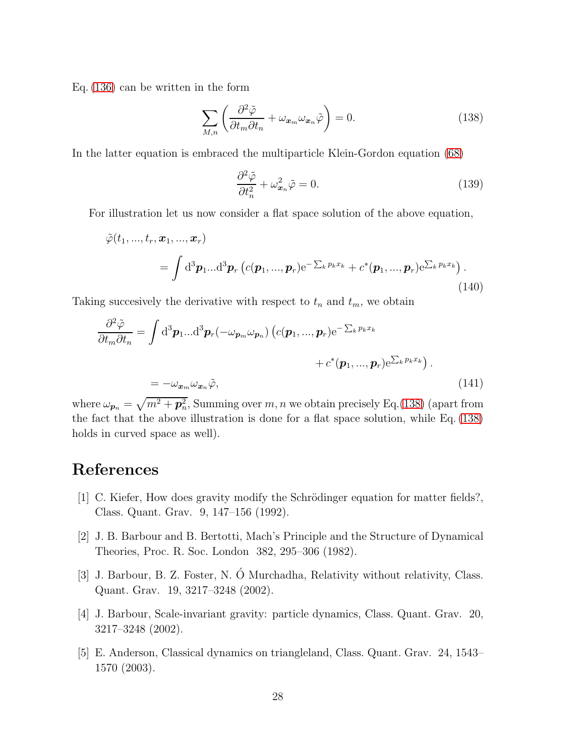Eq. [\(136\)](#page-26-5) can be written in the form

<span id="page-27-2"></span>
$$
\sum_{M,n} \left( \frac{\partial^2 \tilde{\varphi}}{\partial t_m \partial t_n} + \omega_{\boldsymbol{x}_m} \omega_{\boldsymbol{x}_n} \tilde{\varphi} \right) = 0.
$$
\n(138)

In the latter equation is embraced the multiparticle Klein-Gordon equation [\(68\)](#page-13-3)

$$
\frac{\partial^2 \tilde{\varphi}}{\partial t_n^2} + \omega_{\boldsymbol{x}_n}^2 \tilde{\varphi} = 0.
$$
\n(139)

For illustration let us now consider a flat space solution of the above equation,

$$
\tilde{\varphi}(t_1, ..., t_r, \boldsymbol{x}_1, ..., \boldsymbol{x}_r) = \int d^3 \boldsymbol{p}_1 ... d^3 \boldsymbol{p}_r \left( c(\boldsymbol{p}_1, ..., \boldsymbol{p}_r) e^{-\sum_k p_k x_k} + c^*(\boldsymbol{p}_1, ..., \boldsymbol{p}_r) e^{\sum_k p_k x_k} \right).
$$
\n(140)

Taking succesively the derivative with respect to  $t_n$  and  $t_m$ , we obtain

$$
\frac{\partial^2 \tilde{\varphi}}{\partial t_m \partial t_n} = \int d^3 \mathbf{p}_1 ... d^3 \mathbf{p}_r (-\omega_{\mathbf{p}_m} \omega_{\mathbf{p}_n}) \left( c(\mathbf{p}_1, ..., \mathbf{p}_r) e^{-\sum_k p_k x_k} + c^*(\mathbf{p}_1, ..., \mathbf{p}_r) e^{\sum_k p_k x_k} \right).
$$
  
= 
$$
-\omega_{\mathbf{x}_m} \omega_{\mathbf{x}_n} \tilde{\varphi},
$$
 (141)

where  $\omega_{p_n} = \sqrt{m^2 + p_n^2}$ , Summing over m, n we obtain precisely Eq.[\(138\)](#page-27-2) (apart from the fact that the above illustration is done for a flat space solution, while Eq. [\(138\)](#page-27-2) holds in curved space as well).

# <span id="page-27-0"></span>References

- <span id="page-27-1"></span>[1] C. Kiefer, How does gravity modify the Schrödinger equation for matter fields?, Class. Quant. Grav. 9, 147–156 (1992).
- [2] J. B. Barbour and B. Bertotti, Mach's Principle and the Structure of Dynamical Theories, Proc. R. Soc. London 382, 295–306 (1982).
- [3] J. Barbour, B. Z. Foster, N. Ó Murchadha, Relativity without relativity, Class. Quant. Grav. 19, 3217–3248 (2002).
- [4] J. Barbour, Scale-invariant gravity: particle dynamics, Class. Quant. Grav. 20, 3217–3248 (2002).
- [5] E. Anderson, Classical dynamics on triangleland, Class. Quant. Grav. 24, 1543– 1570 (2003).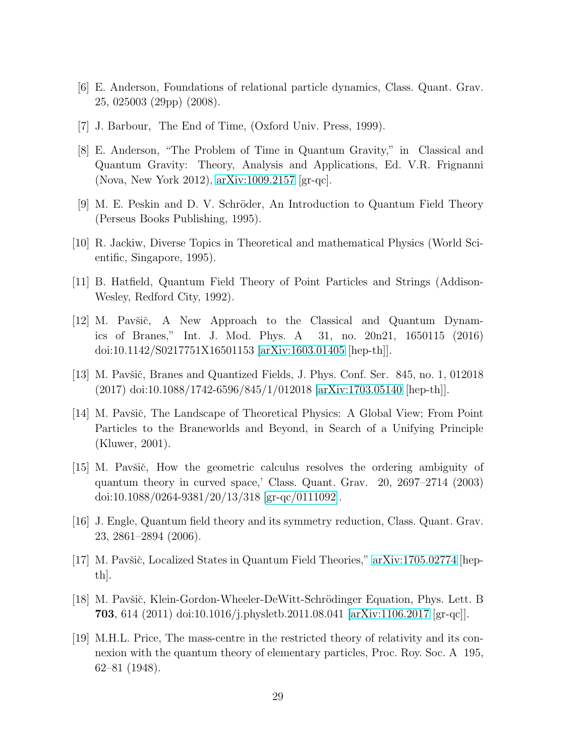- <span id="page-28-0"></span>[6] E. Anderson, Foundations of relational particle dynamics, Class. Quant. Grav. 25, 025003 (29pp) (2008).
- <span id="page-28-1"></span>[7] J. Barbour, The End of Time, (Oxford Univ. Press, 1999).
- [8] E. Anderson, "The Problem of Time in Quantum Gravity," in Classical and Quantum Gravity: Theory, Analysis and Applications, Ed. V.R. Frignanni (Nova, New York 2012), [arXiv:1009.2157](http://arxiv.org/abs/1009.2157) [gr-qc].
- <span id="page-28-3"></span><span id="page-28-2"></span>[9] M. E. Peskin and D. V. Schröder, An Introduction to Quantum Field Theory (Perseus Books Publishing, 1995).
- <span id="page-28-4"></span>[10] R. Jackiw, Diverse Topics in Theoretical and mathematical Physics (World Scientific, Singapore, 1995).
- <span id="page-28-5"></span>[11] B. Hatfield, Quantum Field Theory of Point Particles and Strings (Addison-Wesley, Redford City, 1992).
- [12] M. Pavšič, A New Approach to the Classical and Quantum Dynamics of Branes," Int. J. Mod. Phys. A 31, no. 20n21, 1650115 (2016) doi:10.1142/S0217751X16501153 [\[arXiv:1603.01405](http://arxiv.org/abs/1603.01405) [hep-th]].
- <span id="page-28-7"></span><span id="page-28-6"></span>[13] M. Pavšič, Branes and Quantized Fields, J. Phys. Conf. Ser. 845, no. 1, 012018 (2017) doi:10.1088/1742-6596/845/1/012018 [\[arXiv:1703.05140](http://arxiv.org/abs/1703.05140) [hep-th]].
- [14] M. Pavšič, The Landscape of Theoretical Physics: A Global View; From Point Particles to the Braneworlds and Beyond, in Search of a Unifying Principle (Kluwer, 2001).
- <span id="page-28-8"></span>[15] M. Pavšič, How the geometric calculus resolves the ordering ambiguity of quantum theory in curved space,' Class. Quant. Grav. 20, 2697–2714 (2003) doi:10.1088/0264-9381/20/13/318 [\[gr-qc/0111092\]](http://arxiv.org/abs/gr-qc/0111092).
- <span id="page-28-10"></span><span id="page-28-9"></span>[16] J. Engle, Quantum field theory and its symmetry reduction, Class. Quant. Grav. 23, 2861–2894 (2006).
- <span id="page-28-11"></span>[17] M. Pavšič, Localized States in Quantum Field Theories,"  $\alpha$ Xiv:1705.02774 [hepth].
- <span id="page-28-12"></span>[18] M. Pavšič, Klein-Gordon-Wheeler-DeWitt-Schrödinger Equation, Phys. Lett. B **703**, 614 (2011) doi:10.1016/j.physletb.2011.08.041 [\[arXiv:1106.2017](http://arxiv.org/abs/1106.2017) [gr-qc]].
- [19] M.H.L. Price, The mass-centre in the restricted theory of relativity and its connexion with the quantum theory of elementary particles, Proc. Roy. Soc. A 195, 62–81 (1948).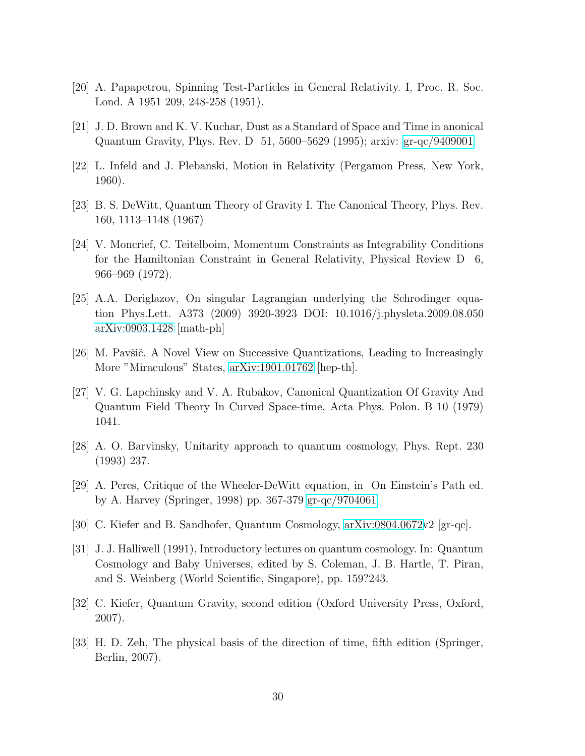- <span id="page-29-1"></span><span id="page-29-0"></span>[20] A. Papapetrou, Spinning Test-Particles in General Relativity. I, Proc. R. Soc. Lond. A 1951 209, 248-258 (1951).
- <span id="page-29-2"></span>[21] J. D. Brown and K. V. Kuchar, Dust as a Standard of Space and Time in anonical Quantum Gravity, Phys. Rev. D 51, 5600–5629 (1995); arxiv: [gr-qc/9409001.](http://arxiv.org/abs/gr-qc/9409001)
- <span id="page-29-3"></span>[22] L. Infeld and J. Plebanski, Motion in Relativity (Pergamon Press, New York, 1960).
- <span id="page-29-4"></span>[23] B. S. DeWitt, Quantum Theory of Gravity I. The Canonical Theory, Phys. Rev. 160, 1113–1148 (1967)
- [24] V. Moncrief, C. Teitelboim, Momentum Constraints as Integrability Conditions for the Hamiltonian Constraint in General Relativity, Physical Review D 6, 966–969 (1972).
- <span id="page-29-5"></span>[25] A.A. Deriglazov, On singular Lagrangian underlying the Schrodinger equation Phys.Lett. A373 (2009) 3920-3923 DOI: 10.1016/j.physleta.2009.08.050 [arXiv:0903.1428](http://arxiv.org/abs/0903.1428) [math-ph]
- <span id="page-29-7"></span><span id="page-29-6"></span>[26] M. Pavšič, A Novel View on Successive Quantizations, Leading to Increasingly More "Miraculous" States, [arXiv:1901.01762](http://arxiv.org/abs/1901.01762) [hep-th].
- [27] V. G. Lapchinsky and V. A. Rubakov, Canonical Quantization Of Gravity And Quantum Field Theory In Curved Space-time, Acta Phys. Polon. B 10 (1979) 1041.
- <span id="page-29-9"></span><span id="page-29-8"></span>[28] A. O. Barvinsky, Unitarity approach to quantum cosmology, Phys. Rept. 230 (1993) 237.
- <span id="page-29-10"></span>[29] A. Peres, Critique of the Wheeler-DeWitt equation, in On Einstein's Path ed. by A. Harvey (Springer, 1998) pp. 367-379 [gr-qc/9704061.](http://arxiv.org/abs/gr-qc/9704061)
- [30] C. Kiefer and B. Sandhofer, Quantum Cosmology, [arXiv:0804.0672v](http://arxiv.org/abs/0804.0672)2 [gr-qc].
- [31] J. J. Halliwell (1991), Introductory lectures on quantum cosmology. In: Quantum Cosmology and Baby Universes, edited by S. Coleman, J. B. Hartle, T. Piran, and S. Weinberg (World Scientific, Singapore), pp. 159?243.
- [32] C. Kiefer, Quantum Gravity, second edition (Oxford University Press, Oxford, 2007).
- [33] H. D. Zeh, The physical basis of the direction of time, fifth edition (Springer, Berlin, 2007).